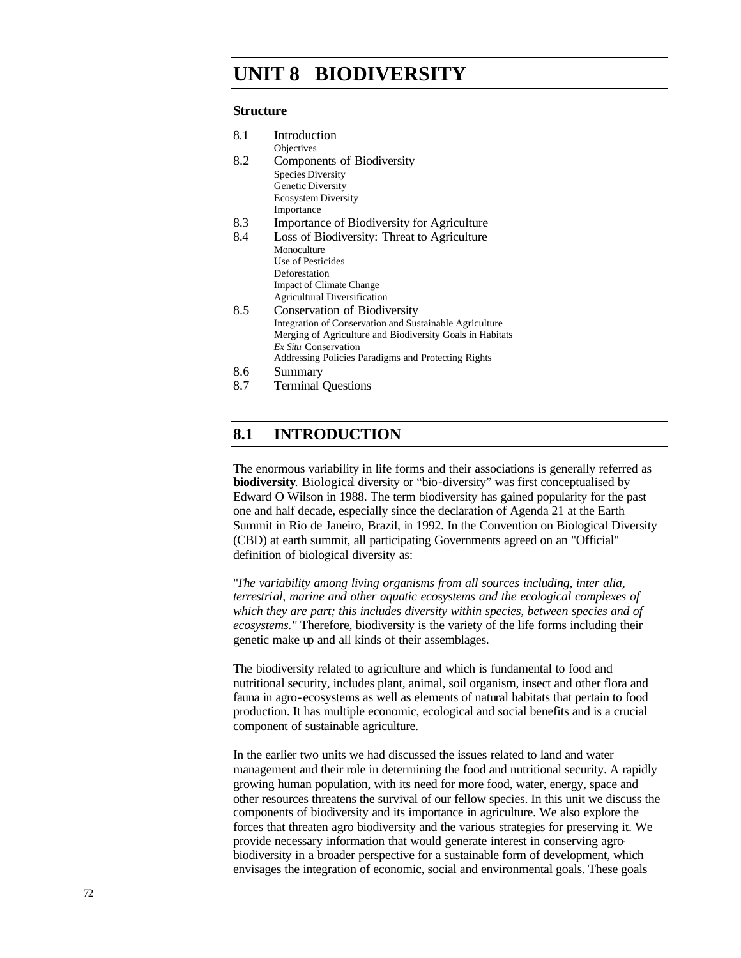# **Challenges UNIT 8 BIODIVERSITY**

#### **Structure**

| 8.1 | Introduction                                              |
|-----|-----------------------------------------------------------|
|     | Objectives                                                |
| 8.2 | Components of Biodiversity                                |
|     | <b>Species Diversity</b>                                  |
|     | Genetic Diversity                                         |
|     | <b>Ecosystem Diversity</b>                                |
|     | Importance                                                |
| 8.3 | Importance of Biodiversity for Agriculture                |
| 8.4 | Loss of Biodiversity: Threat to Agriculture               |
|     | Monoculture                                               |
|     | Use of Pesticides                                         |
|     | Deforestation                                             |
|     | <b>Impact of Climate Change</b>                           |
|     | <b>Agricultural Diversification</b>                       |
| 8.5 | Conservation of Biodiversity                              |
|     | Integration of Conservation and Sustainable Agriculture   |
|     | Merging of Agriculture and Biodiversity Goals in Habitats |
|     | Ex Situ Conservation                                      |
|     | Addressing Policies Paradigms and Protecting Rights       |
| 8.6 | Summary                                                   |
| 8.7 | <b>Terminal Questions</b>                                 |

# **8.1 INTRODUCTION**

The enormous variability in life forms and their associations is generally referred as **biodiversity**. Biological diversity or "bio-diversity" was first conceptualised by Edward O Wilson in 1988. The term biodiversity has gained popularity for the past one and half decade, especially since the declaration of Agenda 21 at the Earth Summit in Rio de Janeiro, Brazil, in 1992. In the Convention on Biological Diversity (CBD) at earth summit, all participating Governments agreed on an "Official" definition of biological diversity as:

"*The variability among living organisms from all sources including, inter alia, terrestrial, marine and other aquatic ecosystems and the ecological complexes of which they are part; this includes diversity within species, between species and of ecosystems."* Therefore, biodiversity is the variety of the life forms including their genetic make up and all kinds of their assemblages.

The biodiversity related to agriculture and which is fundamental to food and nutritional security, includes plant, animal, soil organism, insect and other flora and fauna in agro-ecosystems as well as elements of natural habitats that pertain to food production. It has multiple economic, ecological and social benefits and is a crucial component of sustainable agriculture.

In the earlier two units we had discussed the issues related to land and water management and their role in determining the food and nutritional security. A rapidly growing human population, with its need for more food, water, energy, space and other resources threatens the survival of our fellow species. In this unit we discuss the components of biodiversity and its importance in agriculture. We also explore the forces that threaten agro biodiversity and the various strategies for preserving it. We provide necessary information that would generate interest in conserving agrobiodiversity in a broader perspective for a sustainable form of development, which envisages the integration of economic, social and environmental goals. These goals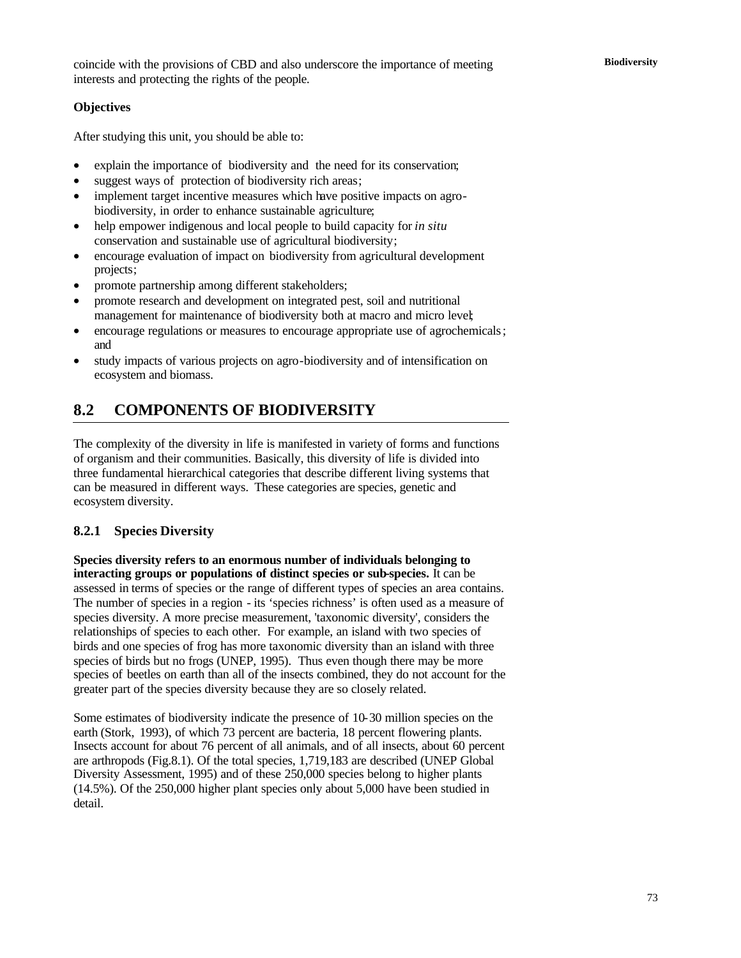### **Objectives**

After studying this unit, you should be able to:

- explain the importance of biodiversity and the need for its conservation;
- suggest ways of protection of biodiversity rich areas;
- implement target incentive measures which have positive impacts on agrobiodiversity, in order to enhance sustainable agriculture;
- help empower indigenous and local people to build capacity for *in situ* conservation and sustainable use of agricultural biodiversity;
- encourage evaluation of impact on biodiversity from agricultural development projects;
- promote partnership among different stakeholders;
- promote research and development on integrated pest, soil and nutritional management for maintenance of biodiversity both at macro and micro level;
- encourage regulations or measures to encourage appropriate use of agrochemicals; and
- study impacts of various projects on agro-biodiversity and of intensification on ecosystem and biomass.

# **8.2 COMPONENTS OF BIODIVERSITY**

The complexity of the diversity in life is manifested in variety of forms and functions of organism and their communities. Basically, this diversity of life is divided into three fundamental hierarchical categories that describe different living systems that can be measured in different ways. These categories are species, genetic and ecosystem diversity.

#### **8.2.1 Species Diversity**

**Species diversity refers to an enormous number of individuals belonging to interacting groups or populations of distinct species or sub-species.** It can be assessed in terms of species or the range of different types of species an area contains. The number of species in a region - its 'species richness' is often used as a measure of species diversity. A more precise measurement, 'taxonomic diversity', considers the relationships of species to each other. For example, an island with two species of birds and one species of frog has more taxonomic diversity than an island with three species of birds but no frogs (UNEP, 1995). Thus even though there may be more species of beetles on earth than all of the insects combined, they do not account for the greater part of the species diversity because they are so closely related.

Some estimates of biodiversity indicate the presence of 10-30 million species on the earth (Stork, 1993), of which 73 percent are bacteria, 18 percent flowering plants. Insects account for about 76 percent of all animals, and of all insects, about 60 percent are arthropods (Fig.8.1). Of the total species, 1,719,183 are described (UNEP Global Diversity Assessment, 1995) and of these 250,000 species belong to higher plants (14.5%). Of the 250,000 higher plant species only about 5,000 have been studied in detail.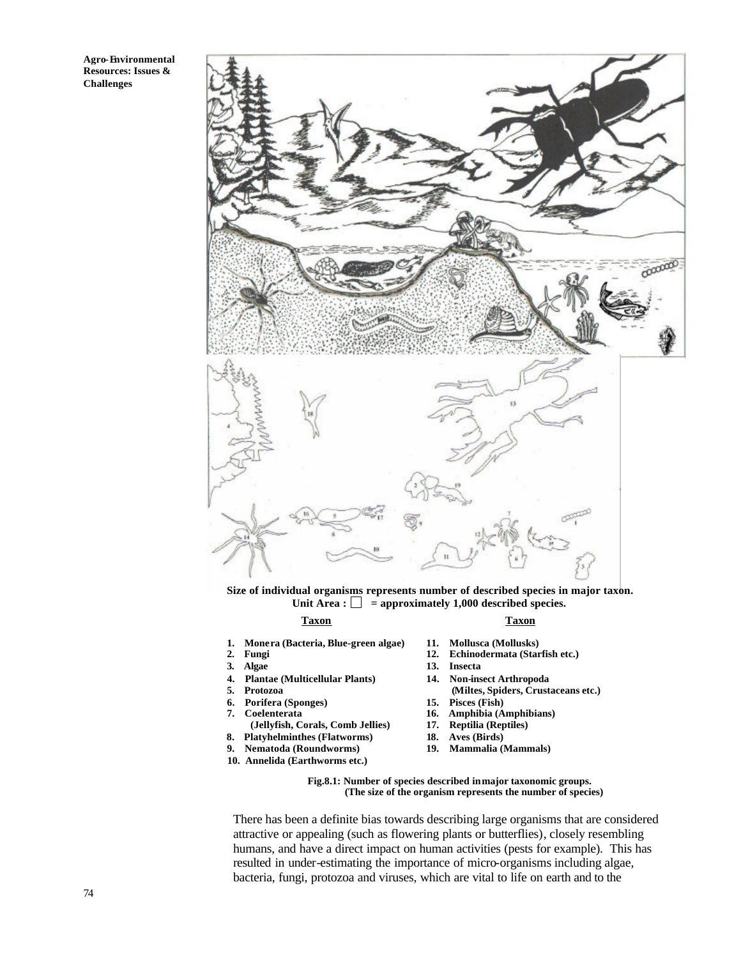

**Size of individual organisms represents number of described species in major taxon.** Unit Area :  $\Box$  = approximately 1,000 described species.

#### **Taxon Taxon**

- **1. Monera (Bacteria, Blue-green algae) 11. Mollusca (Mollusks)**
- 
- 
- 
- 
- **6. Porifera (Sponges) 15. Pisces (Fish)**
	-
- **(Jellyfish, Corals, Comb Jellies) 17.**<br> **8.** Platyhelminthes (Flatworms) 18.
- **8. Platyhelminthes (Flatworms) 18. Aves (Birds)**
- **9. Nematoda (Roundworms)**
- **10. Annelida (Earthworms etc.)**
- 
- 2. Fungi 12. Echinodermata (Starfish etc.)<br> **12.** Echinodermata (Starfish etc.)<br> **13.** Insecta
	- **3. Algae 13. Insecta**
- **4. Plantae (Multicellular Plants) 14. Non-insect Arthropoda** (Miltes, Spiders, Crustaceans etc.)
	-
	- 16. **Amphibia (Amphibians)**<br>17. **Reptilia (Reptiles)**
	-
	-
	-

**Fig.8.1: Number of species described in major taxonomic groups. (The size of the organism represents the number of species)**

There has been a definite bias towards describing large organisms that are considered attractive or appealing (such as flowering plants or butterflies), closely resembling humans, and have a direct impact on human activities (pests for example). This has resulted in under-estimating the importance of micro-organisms including algae, bacteria, fungi, protozoa and viruses, which are vital to life on earth and to the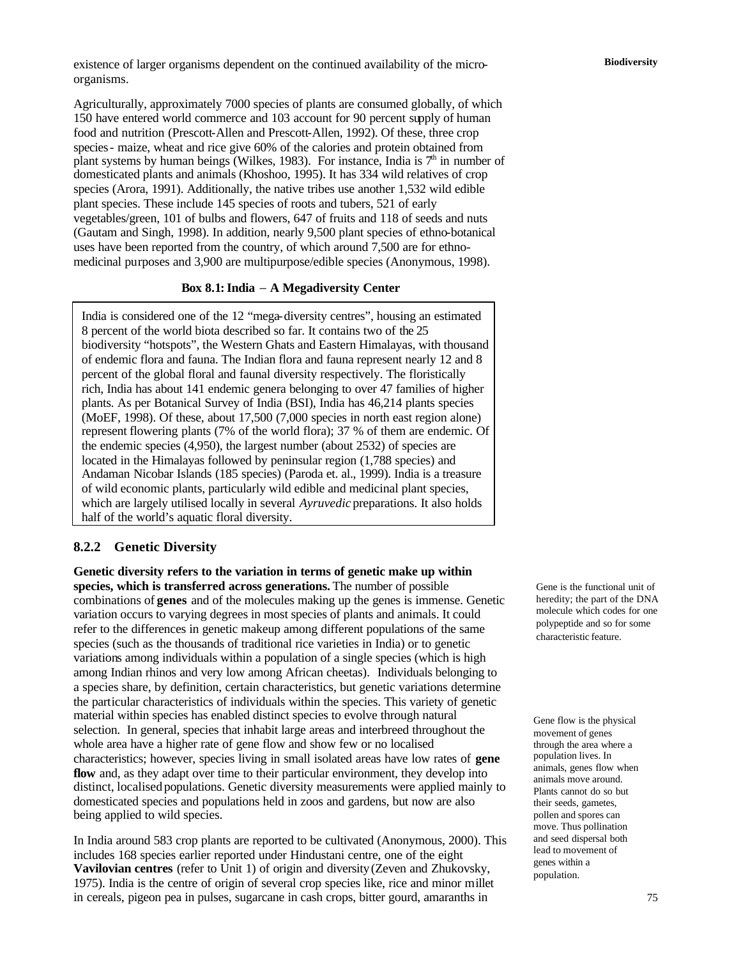**Biodiversity** existence of larger organisms dependent on the continued availability of the microorganisms.

Agriculturally, approximately 7000 species of plants are consumed globally, of which 150 have entered world commerce and 103 account for 90 percent supply of human food and nutrition (Prescott-Allen and Prescott-Allen, 1992). Of these, three crop species- maize, wheat and rice give 60% of the calories and protein obtained from plant systems by human beings (Wilkes, 1983). For instance, India is  $7<sup>th</sup>$  in number of domesticated plants and animals (Khoshoo, 1995). It has 334 wild relatives of crop species (Arora, 1991). Additionally, the native tribes use another 1,532 wild edible plant species. These include 145 species of roots and tubers, 521 of early vegetables/green, 101 of bulbs and flowers, 647 of fruits and 118 of seeds and nuts (Gautam and Singh, 1998). In addition, nearly 9,500 plant species of ethno-botanical uses have been reported from the country, of which around 7,500 are for ethnomedicinal purposes and 3,900 are multipurpose/edible species (Anonymous, 1998).

#### **Box 8.1: India** − **A Megadiversity Center**

India is considered one of the 12 "mega-diversity centres", housing an estimated 8 percent of the world biota described so far. It contains two of the 25 biodiversity "hotspots", the Western Ghats and Eastern Himalayas, with thousand of endemic flora and fauna. The Indian flora and fauna represent nearly 12 and 8 percent of the global floral and faunal diversity respectively. The floristically rich, India has about 141 endemic genera belonging to over 47 families of higher plants. As per Botanical Survey of India (BSI), India has 46,214 plants species (MoEF, 1998). Of these, about 17,500 (7,000 species in north east region alone) represent flowering plants (7% of the world flora); 37 % of them are endemic. Of the endemic species (4,950), the largest number (about 2532) of species are located in the Himalayas followed by peninsular region (1,788 species) and Andaman Nicobar Islands (185 species) (Paroda et. al., 1999). India is a treasure of wild economic plants, particularly wild edible and medicinal plant species, which are largely utilised locally in several *Ayruvedic* preparations. It also holds half of the world's aquatic floral diversity.

#### **8.2.2 Genetic Diversity**

**Genetic diversity refers to the variation in terms of genetic make up within species, which is transferred across generations.** The number of possible combinations of **genes** and of the molecules making up the genes is immense. Genetic variation occurs to varying degrees in most species of plants and animals. It could refer to the differences in genetic makeup among different populations of the same species (such as the thousands of traditional rice varieties in India) or to genetic variations among individuals within a population of a single species (which is high among Indian rhinos and very low among African cheetas). Individuals belonging to a species share, by definition, certain characteristics, but genetic variations determine the particular characteristics of individuals within the species. This variety of genetic material within species has enabled distinct species to evolve through natural selection. In general, species that inhabit large areas and interbreed throughout the whole area have a higher rate of gene flow and show few or no localised characteristics; however, species living in small isolated areas have low rates of **gene**  flow and, as they adapt over time to their particular environment, they develop into distinct, localised populations. Genetic diversity measurements were applied mainly to domesticated species and populations held in zoos and gardens, but now are also being applied to wild species.

In India around 583 crop plants are reported to be cultivated (Anonymous, 2000). This includes 168 species earlier reported under Hindustani centre, one of the eight **Vavilovian centres** (refer to Unit 1) of origin and diversity(Zeven and Zhukovsky, 1975). India is the centre of origin of several crop species like, rice and minor millet in cereals, pigeon pea in pulses, sugarcane in cash crops, bitter gourd, amaranths in

Gene is the functional unit of heredity; the part of the DNA molecule which codes for one polypeptide and so for some characteristic feature.

Gene flow is the physical movement of genes through the area where a population lives. In animals, genes flow when animals move around. Plants cannot do so but their seeds, gametes, pollen and spores can move. Thus pollination and seed dispersal both lead to movement of genes within a population.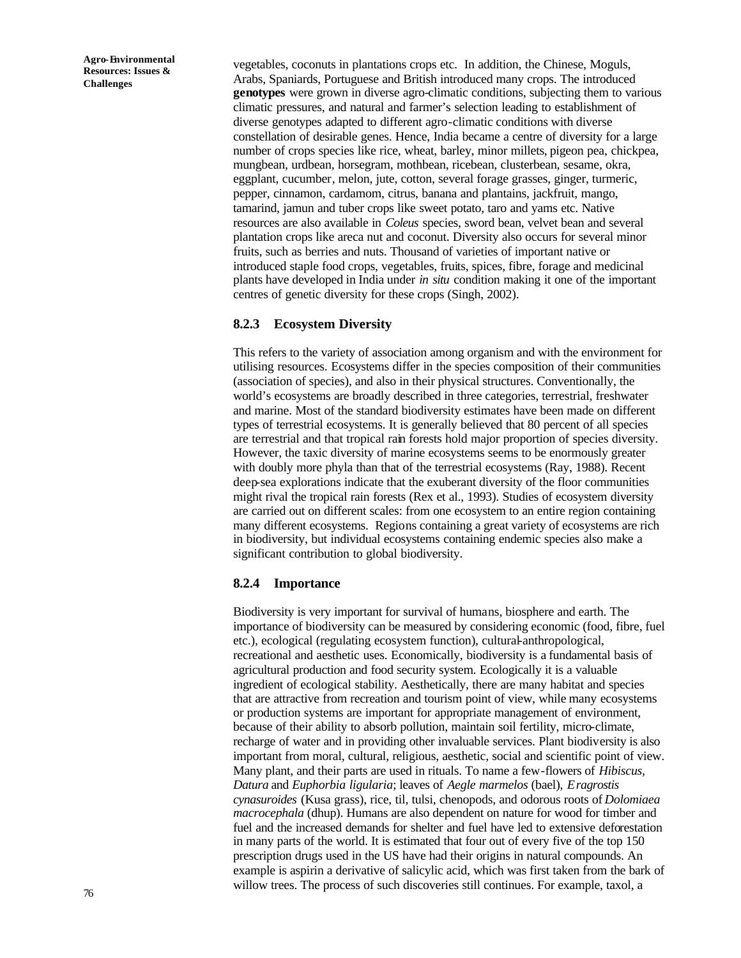vegetables, coconuts in plantations crops etc. In addition, the Chinese, Moguls, Arabs, Spaniards, Portuguese and British introduced many crops. The introduced **genotypes** were grown in diverse agro-climatic conditions, subjecting them to various climatic pressures, and natural and farmer's selection leading to establishment of diverse genotypes adapted to different agro-climatic conditions with diverse constellation of desirable genes. Hence, India became a centre of diversity for a large number of crops species like rice, wheat, barley, minor millets, pigeon pea, chickpea, mungbean, urdbean, horsegram, mothbean, ricebean, clusterbean, sesame, okra, eggplant, cucumber, melon, jute, cotton, several forage grasses, ginger, turmeric, pepper, cinnamon, cardamom, citrus, banana and plantains, jackfruit, mango, tamarind, jamun and tuber crops like sweet potato, taro and yams etc. Native resources are also available in *Coleus* species, sword bean, velvet bean and several plantation crops like areca nut and coconut. Diversity also occurs for several minor fruits, such as berries and nuts. Thousand of varieties of important native or introduced staple food crops, vegetables, fruits, spices, fibre, forage and medicinal plants have developed in India under *in situ* condition making it one of the important centres of genetic diversity for these crops (Singh, 2002).

#### **8.2.3 Ecosystem Diversity**

This refers to the variety of association among organism and with the environment for utilising resources. Ecosystems differ in the species composition of their communities (association of species), and also in their physical structures. Conventionally, the world's ecosystems are broadly described in three categories, terrestrial, freshwater and marine. Most of the standard biodiversity estimates have been made on different types of terrestrial ecosystems. It is generally believed that 80 percent of all species are terrestrial and that tropical rain forests hold major proportion of species diversity. However, the taxic diversity of marine ecosystems seems to be enormously greater with doubly more phyla than that of the terrestrial ecosystems (Ray, 1988). Recent deep-sea explorations indicate that the exuberant diversity of the floor communities might rival the tropical rain forests (Rex et al., 1993). Studies of ecosystem diversity are carried out on different scales: from one ecosystem to an entire region containing many different ecosystems. Regions containing a great variety of ecosystems are rich in biodiversity, but individual ecosystems containing endemic species also make a significant contribution to global biodiversity.

#### **8.2.4 Importance**

Biodiversity is very important for survival of humans, biosphere and earth. The importance of biodiversity can be measured by considering economic (food, fibre, fuel etc.), ecological (regulating ecosystem function), cultural-anthropological, recreational and aesthetic uses. Economically, biodiversity is a fundamental basis of agricultural production and food security system. Ecologically it is a valuable ingredient of ecological stability. Aesthetically, there are many habitat and species that are attractive from recreation and tourism point of view, while many ecosystems or production systems are important for appropriate management of environment, because of their ability to absorb pollution, maintain soil fertility, micro-climate, recharge of water and in providing other invaluable services. Plant biodiversity is also important from moral, cultural, religious, aesthetic, social and scientific point of view. Many plant, and their parts are used in rituals. To name a few-flowers of *Hibiscus, Datura* and *Euphorbia ligularia*; leaves of *Aegle marmelos* (bael), *Eragrostis cynasuroides* (Kusa grass), rice, til, tulsi, chenopods, and odorous roots of *Dolomiaea macrocephala* (dhup). Humans are also dependent on nature for wood for timber and fuel and the increased demands for shelter and fuel have led to extensive deforestation in many parts of the world. It is estimated that four out of every five of the top 150 prescription drugs used in the US have had their origins in natural compounds. An example is aspirin a derivative of salicylic acid, which was first taken from the bark of willow trees. The process of such discoveries still continues. For example, taxol, a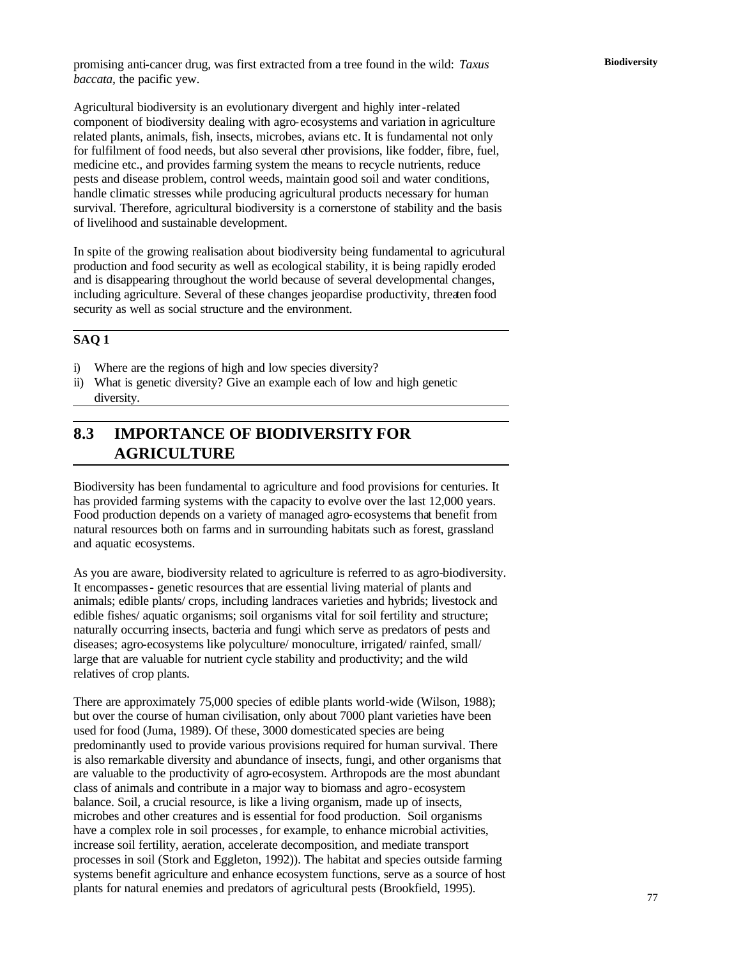Agricultural biodiversity is an evolutionary divergent and highly inter-related component of biodiversity dealing with agro-ecosystems and variation in agriculture related plants, animals, fish, insects, microbes, avians etc. It is fundamental not only for fulfilment of food needs, but also several other provisions, like fodder, fibre, fuel, medicine etc., and provides farming system the means to recycle nutrients, reduce pests and disease problem, control weeds, maintain good soil and water conditions, handle climatic stresses while producing agricultural products necessary for human survival. Therefore, agricultural biodiversity is a cornerstone of stability and the basis of livelihood and sustainable development.

In spite of the growing realisation about biodiversity being fundamental to agricultural production and food security as well as ecological stability, it is being rapidly eroded and is disappearing throughout the world because of several developmental changes, including agriculture. Several of these changes jeopardise productivity, threaten food security as well as social structure and the environment.

# **SAQ 1**

- i) Where are the regions of high and low species diversity?
- ii) What is genetic diversity? Give an example each of low and high genetic diversity.

# **8.3 IMPORTANCE OF BIODIVERSITY FOR AGRICULTURE**

Biodiversity has been fundamental to agriculture and food provisions for centuries. It has provided farming systems with the capacity to evolve over the last 12,000 years. Food production depends on a variety of managed agro-ecosystems that benefit from natural resources both on farms and in surrounding habitats such as forest, grassland and aquatic ecosystems.

As you are aware, biodiversity related to agriculture is referred to as agro-biodiversity. It encompasses- genetic resources that are essential living material of plants and animals; edible plants/ crops, including landraces varieties and hybrids; livestock and edible fishes/ aquatic organisms; soil organisms vital for soil fertility and structure; naturally occurring insects, bacteria and fungi which serve as predators of pests and diseases; agro-ecosystems like polyculture/ monoculture, irrigated/ rainfed, small/ large that are valuable for nutrient cycle stability and productivity; and the wild relatives of crop plants.

There are approximately 75,000 species of edible plants world-wide (Wilson, 1988); but over the course of human civilisation, only about 7000 plant varieties have been used for food (Juma, 1989). Of these, 3000 domesticated species are being predominantly used to provide various provisions required for human survival. There is also remarkable diversity and abundance of insects, fungi, and other organisms that are valuable to the productivity of agro-ecosystem. Arthropods are the most abundant class of animals and contribute in a major way to biomass and agro-ecosystem balance. Soil, a crucial resource, is like a living organism, made up of insects, microbes and other creatures and is essential for food production. Soil organisms have a complex role in soil processes, for example, to enhance microbial activities, increase soil fertility, aeration, accelerate decomposition, and mediate transport processes in soil (Stork and Eggleton, 1992)). The habitat and species outside farming systems benefit agriculture and enhance ecosystem functions, serve as a source of host plants for natural enemies and predators of agricultural pests (Brookfield, 1995).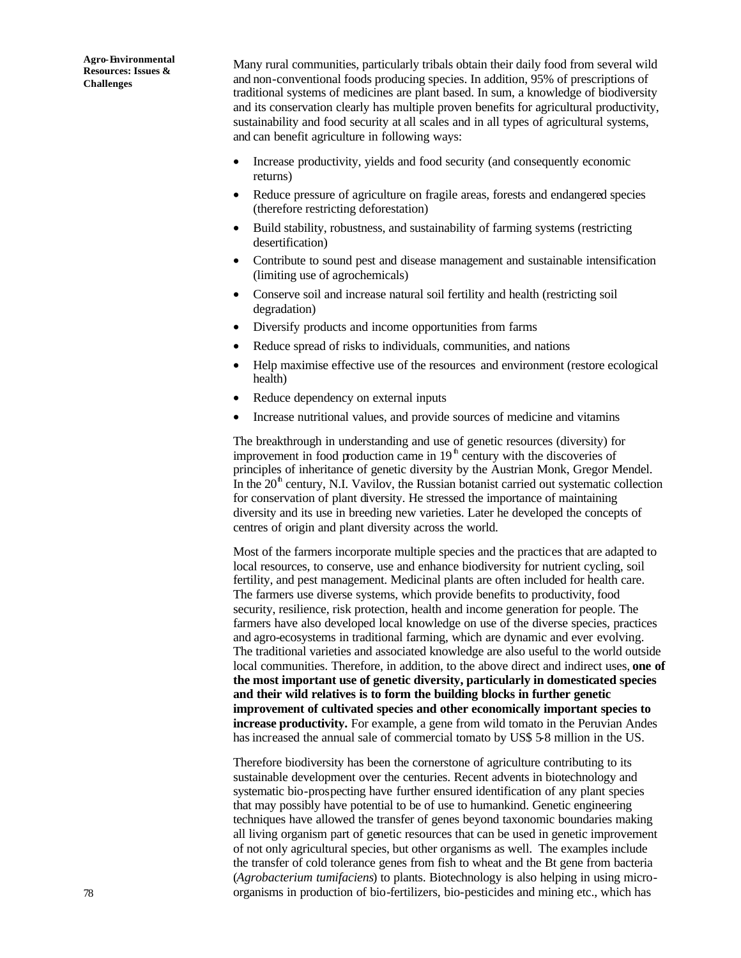Many rural communities, particularly tribals obtain their daily food from several wild and non-conventional foods producing species. In addition, 95% of prescriptions of traditional systems of medicines are plant based. In sum, a knowledge of biodiversity and its conservation clearly has multiple proven benefits for agricultural productivity, sustainability and food security at all scales and in all types of agricultural systems, and can benefit agriculture in following ways:

- Increase productivity, yields and food security (and consequently economic returns)
- Reduce pressure of agriculture on fragile areas, forests and endangered species (therefore restricting deforestation)
- Build stability, robustness, and sustainability of farming systems (restricting desertification)
- Contribute to sound pest and disease management and sustainable intensification (limiting use of agrochemicals)
- Conserve soil and increase natural soil fertility and health (restricting soil degradation)
- Diversify products and income opportunities from farms
- Reduce spread of risks to individuals, communities, and nations
- Help maximise effective use of the resources and environment (restore ecological health)
- Reduce dependency on external inputs
- Increase nutritional values, and provide sources of medicine and vitamins

The breakthrough in understanding and use of genetic resources (diversity) for improvement in food production came in  $19<sup>h</sup>$  century with the discoveries of principles of inheritance of genetic diversity by the Austrian Monk, Gregor Mendel. In the  $20<sup>th</sup>$  century, N.I. Vavilov, the Russian botanist carried out systematic collection for conservation of plant diversity. He stressed the importance of maintaining diversity and its use in breeding new varieties. Later he developed the concepts of centres of origin and plant diversity across the world.

Most of the farmers incorporate multiple species and the practices that are adapted to local resources, to conserve, use and enhance biodiversity for nutrient cycling, soil fertility, and pest management. Medicinal plants are often included for health care. The farmers use diverse systems, which provide benefits to productivity, food security, resilience, risk protection, health and income generation for people. The farmers have also developed local knowledge on use of the diverse species, practices and agro-ecosystems in traditional farming, which are dynamic and ever evolving. The traditional varieties and associated knowledge are also useful to the world outside local communities. Therefore, in addition, to the above direct and indirect uses, **one of the most important use of genetic diversity, particularly in domesticated species and their wild relatives is to form the building blocks in further genetic improvement of cultivated species and other economically important species to increase productivity.** For example, a gene from wild tomato in the Peruvian Andes has increased the annual sale of commercial tomato by US\$ 5-8 million in the US.

Therefore biodiversity has been the cornerstone of agriculture contributing to its sustainable development over the centuries. Recent advents in biotechnology and systematic bio-prospecting have further ensured identification of any plant species that may possibly have potential to be of use to humankind. Genetic engineering techniques have allowed the transfer of genes beyond taxonomic boundaries making all living organism part of genetic resources that can be used in genetic improvement of not only agricultural species, but other organisms as well. The examples include the transfer of cold tolerance genes from fish to wheat and the Bt gene from bacteria (*Agrobacterium tumifaciens*) to plants. Biotechnology is also helping in using microorganisms in production of bio-fertilizers, bio-pesticides and mining etc., which has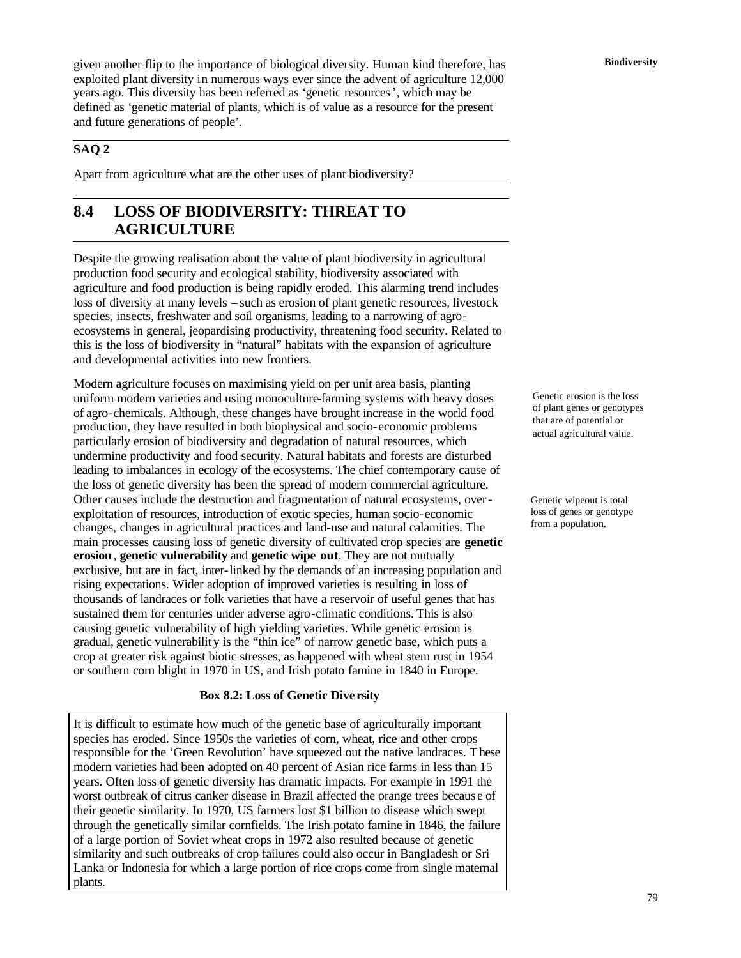**Biodiversity** given another flip to the importance of biological diversity. Human kind therefore, has exploited plant diversity in numerous ways ever since the advent of agriculture 12,000 years ago. This diversity has been referred as 'genetic resources', which may be defined as 'genetic material of plants, which is of value as a resource for the present and future generations of people'.

# **SAQ 2**

Apart from agriculture what are the other uses of plant biodiversity?

# **8.4 LOSS OF BIODIVERSITY: THREAT TO AGRICULTURE**

Despite the growing realisation about the value of plant biodiversity in agricultural production food security and ecological stability, biodiversity associated with agriculture and food production is being rapidly eroded. This alarming trend includes loss of diversity at many levels – such as erosion of plant genetic resources, livestock species, insects, freshwater and soil organisms, leading to a narrowing of agroecosystems in general, jeopardising productivity, threatening food security. Related to this is the loss of biodiversity in "natural" habitats with the expansion of agriculture and developmental activities into new frontiers.

Modern agriculture focuses on maximising yield on per unit area basis, planting uniform modern varieties and using monoculture-farming systems with heavy doses of agro-chemicals. Although, these changes have brought increase in the world food production, they have resulted in both biophysical and socio-economic problems particularly erosion of biodiversity and degradation of natural resources, which undermine productivity and food security. Natural habitats and forests are disturbed leading to imbalances in ecology of the ecosystems. The chief contemporary cause of the loss of genetic diversity has been the spread of modern commercial agriculture. Other causes include the destruction and fragmentation of natural ecosystems, overexploitation of resources, introduction of exotic species, human socio-economic changes, changes in agricultural practices and land-use and natural calamities. The main processes causing loss of genetic diversity of cultivated crop species are **genetic erosion**, **genetic vulnerability** and **genetic wipe out**. They are not mutually exclusive, but are in fact, inter-linked by the demands of an increasing population and rising expectations. Wider adoption of improved varieties is resulting in loss of thousands of landraces or folk varieties that have a reservoir of useful genes that has sustained them for centuries under adverse agro-climatic conditions. This is also causing genetic vulnerability of high yielding varieties. While genetic erosion is gradual, genetic vulnerabilit y is the "thin ice" of narrow genetic base, which puts a crop at greater risk against biotic stresses, as happened with wheat stem rust in 1954 or southern corn blight in 1970 in US, and Irish potato famine in 1840 in Europe.

#### **Box 8.2: Loss of Genetic Dive rsity**

It is difficult to estimate how much of the genetic base of agriculturally important species has eroded. Since 1950s the varieties of corn, wheat, rice and other crops responsible for the 'Green Revolution' have squeezed out the native landraces. These modern varieties had been adopted on 40 percent of Asian rice farms in less than 15 years. Often loss of genetic diversity has dramatic impacts. For example in 1991 the worst outbreak of citrus canker disease in Brazil affected the orange trees becaus e of their genetic similarity. In 1970, US farmers lost \$1 billion to disease which swept through the genetically similar cornfields. The Irish potato famine in 1846, the failure of a large portion of Soviet wheat crops in 1972 also resulted because of genetic similarity and such outbreaks of crop failures could also occur in Bangladesh or Sri Lanka or Indonesia for which a large portion of rice crops come from single maternal plants.

Genetic erosion is the loss of plant genes or genotypes that are of potential or actual agricultural value.

Genetic wipeout is total loss of genes or genotype from a population.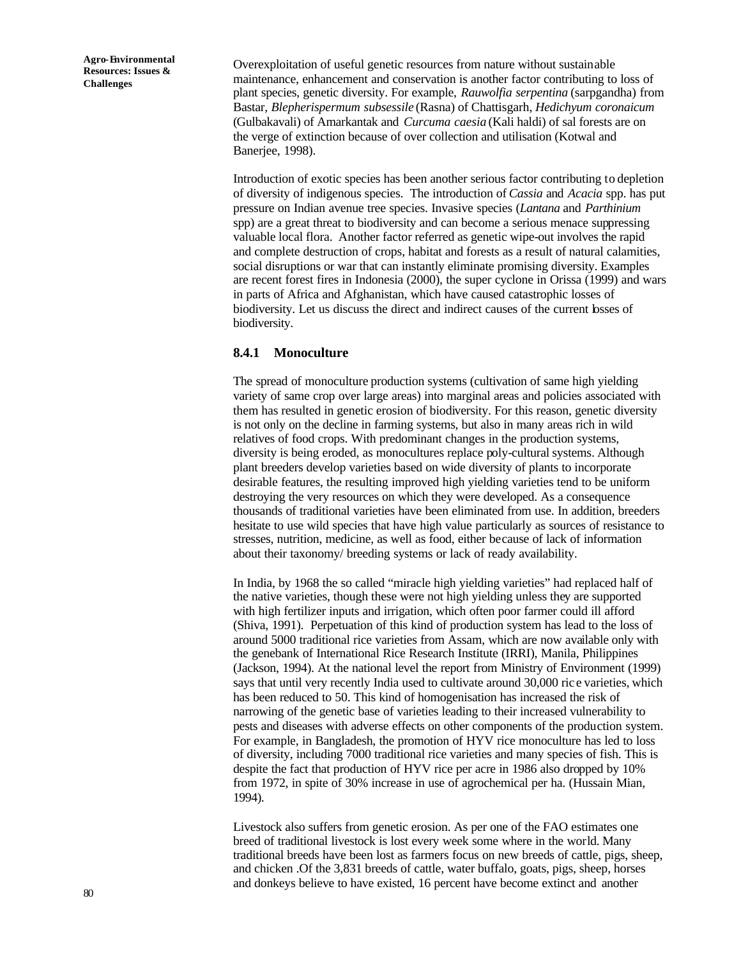Overexploitation of useful genetic resources from nature without sustainable maintenance, enhancement and conservation is another factor contributing to loss of plant species, genetic diversity. For example, *Rauwolfia serpentina* (sarpgandha) from Bastar, *Blepherispermum subsessile* (Rasna) of Chattisgarh, *Hedichyum coronaicum* (Gulbakavali) of Amarkantak and *Curcuma caesia* (Kali haldi) of sal forests are on the verge of extinction because of over collection and utilisation (Kotwal and Banerjee, 1998).

Introduction of exotic species has been another serious factor contributing to depletion of diversity of indigenous species. The introduction of *Cassia* and *Acacia* spp. has put pressure on Indian avenue tree species. Invasive species (*Lantana* and *Parthinium* spp) are a great threat to biodiversity and can become a serious menace suppressing valuable local flora. Another factor referred as genetic wipe-out involves the rapid and complete destruction of crops, habitat and forests as a result of natural calamities, social disruptions or war that can instantly eliminate promising diversity. Examples are recent forest fires in Indonesia (2000), the super cyclone in Orissa (1999) and wars in parts of Africa and Afghanistan, which have caused catastrophic losses of biodiversity. Let us discuss the direct and indirect causes of the current losses of biodiversity.

#### **8.4.1 Monoculture**

The spread of monoculture production systems (cultivation of same high yielding variety of same crop over large areas) into marginal areas and policies associated with them has resulted in genetic erosion of biodiversity. For this reason, genetic diversity is not only on the decline in farming systems, but also in many areas rich in wild relatives of food crops. With predominant changes in the production systems, diversity is being eroded, as monocultures replace poly-cultural systems. Although plant breeders develop varieties based on wide diversity of plants to incorporate desirable features, the resulting improved high yielding varieties tend to be uniform destroying the very resources on which they were developed. As a consequence thousands of traditional varieties have been eliminated from use. In addition, breeders hesitate to use wild species that have high value particularly as sources of resistance to stresses, nutrition, medicine, as well as food, either because of lack of information about their taxonomy/ breeding systems or lack of ready availability.

In India, by 1968 the so called "miracle high yielding varieties" had replaced half of the native varieties, though these were not high yielding unless they are supported with high fertilizer inputs and irrigation, which often poor farmer could ill afford (Shiva, 1991). Perpetuation of this kind of production system has lead to the loss of around 5000 traditional rice varieties from Assam, which are now available only with the genebank of International Rice Research Institute (IRRI), Manila, Philippines (Jackson, 1994). At the national level the report from Ministry of Environment (1999) says that until very recently India used to cultivate around 30,000 ric e varieties, which has been reduced to 50. This kind of homogenisation has increased the risk of narrowing of the genetic base of varieties leading to their increased vulnerability to pests and diseases with adverse effects on other components of the production system. For example, in Bangladesh, the promotion of HYV rice monoculture has led to loss of diversity, including 7000 traditional rice varieties and many species of fish. This is despite the fact that production of HYV rice per acre in 1986 also dropped by 10% from 1972, in spite of 30% increase in use of agrochemical per ha. (Hussain Mian, 1994).

Livestock also suffers from genetic erosion. As per one of the FAO estimates one breed of traditional livestock is lost every week some where in the world. Many traditional breeds have been lost as farmers focus on new breeds of cattle, pigs, sheep, and chicken .Of the 3,831 breeds of cattle, water buffalo, goats, pigs, sheep, horses and donkeys believe to have existed, 16 percent have become extinct and another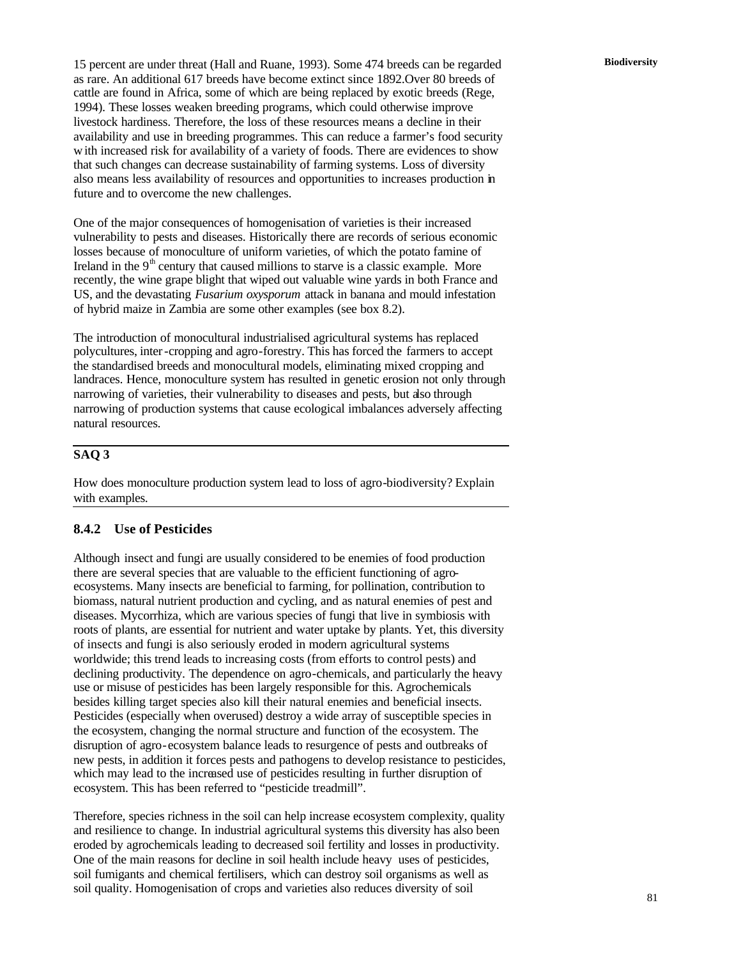**Biodiversity** 15 percent are under threat (Hall and Ruane, 1993). Some 474 breeds can be regarded as rare. An additional 617 breeds have become extinct since 1892.Over 80 breeds of cattle are found in Africa, some of which are being replaced by exotic breeds (Rege, 1994). These losses weaken breeding programs, which could otherwise improve livestock hardiness. Therefore, the loss of these resources means a decline in their availability and use in breeding programmes. This can reduce a farmer's food security with increased risk for availability of a variety of foods. There are evidences to show that such changes can decrease sustainability of farming systems. Loss of diversity also means less availability of resources and opportunities to increases production in future and to overcome the new challenges.

One of the major consequences of homogenisation of varieties is their increased vulnerability to pests and diseases. Historically there are records of serious economic losses because of monoculture of uniform varieties, of which the potato famine of Ireland in the  $9<sup>th</sup>$  century that caused millions to starve is a classic example. More recently, the wine grape blight that wiped out valuable wine yards in both France and US, and the devastating *Fusarium oxysporum* attack in banana and mould infestation of hybrid maize in Zambia are some other examples (see box 8.2).

The introduction of monocultural industrialised agricultural systems has replaced polycultures, inter-cropping and agro-forestry. This has forced the farmers to accept the standardised breeds and monocultural models, eliminating mixed cropping and landraces. Hence, monoculture system has resulted in genetic erosion not only through narrowing of varieties, their vulnerability to diseases and pests, but also through narrowing of production systems that cause ecological imbalances adversely affecting natural resources.

### **SAQ 3**

How does monoculture production system lead to loss of agro-biodiversity? Explain with examples.

# **8.4.2 Use of Pesticides**

Although insect and fungi are usually considered to be enemies of food production there are several species that are valuable to the efficient functioning of agroecosystems. Many insects are beneficial to farming, for pollination, contribution to biomass, natural nutrient production and cycling, and as natural enemies of pest and diseases. Mycorrhiza, which are various species of fungi that live in symbiosis with roots of plants, are essential for nutrient and water uptake by plants. Yet, this diversity of insects and fungi is also seriously eroded in modern agricultural systems worldwide; this trend leads to increasing costs (from efforts to control pests) and declining productivity. The dependence on agro-chemicals, and particularly the heavy use or misuse of pesticides has been largely responsible for this. Agrochemicals besides killing target species also kill their natural enemies and beneficial insects. Pesticides (especially when overused) destroy a wide array of susceptible species in the ecosystem, changing the normal structure and function of the ecosystem. The disruption of agro-ecosystem balance leads to resurgence of pests and outbreaks of new pests, in addition it forces pests and pathogens to develop resistance to pesticides, which may lead to the increased use of pesticides resulting in further disruption of ecosystem. This has been referred to "pesticide treadmill".

Therefore, species richness in the soil can help increase ecosystem complexity, quality and resilience to change. In industrial agricultural systems this diversity has also been eroded by agrochemicals leading to decreased soil fertility and losses in productivity. One of the main reasons for decline in soil health include heavy uses of pesticides, soil fumigants and chemical fertilisers, which can destroy soil organisms as well as soil quality. Homogenisation of crops and varieties also reduces diversity of soil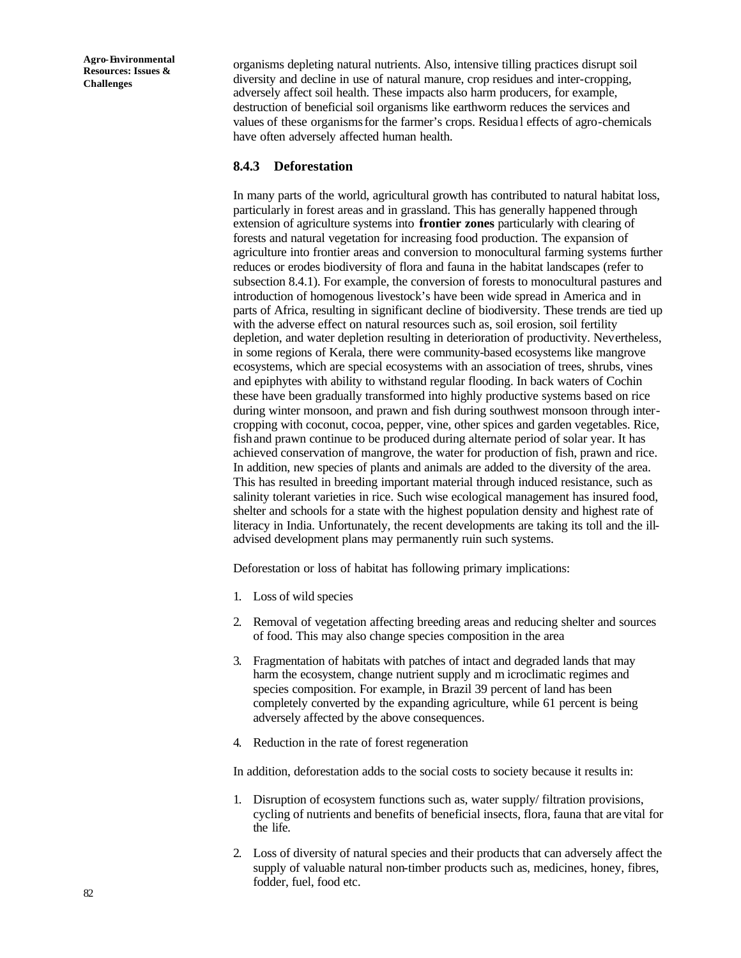organisms depleting natural nutrients. Also, intensive tilling practices disrupt soil diversity and decline in use of natural manure, crop residues and inter-cropping, adversely affect soil health. These impacts also harm producers, for example, destruction of beneficial soil organisms like earthworm reduces the services and values of these organisms for the farmer's crops. Residua l effects of agro-chemicals have often adversely affected human health.

#### **8.4.3 Deforestation**

In many parts of the world, agricultural growth has contributed to natural habitat loss, particularly in forest areas and in grassland. This has generally happened through extension of agriculture systems into **frontier zones** particularly with clearing of forests and natural vegetation for increasing food production. The expansion of agriculture into frontier areas and conversion to monocultural farming systems further reduces or erodes biodiversity of flora and fauna in the habitat landscapes (refer to subsection 8.4.1). For example, the conversion of forests to monocultural pastures and introduction of homogenous livestock's have been wide spread in America and in parts of Africa, resulting in significant decline of biodiversity. These trends are tied up with the adverse effect on natural resources such as, soil erosion, soil fertility depletion, and water depletion resulting in deterioration of productivity. Nevertheless, in some regions of Kerala, there were community-based ecosystems like mangrove ecosystems, which are special ecosystems with an association of trees, shrubs, vines and epiphytes with ability to withstand regular flooding. In back waters of Cochin these have been gradually transformed into highly productive systems based on rice during winter monsoon, and prawn and fish during southwest monsoon through intercropping with coconut, cocoa, pepper, vine, other spices and garden vegetables. Rice, fish and prawn continue to be produced during alternate period of solar year. It has achieved conservation of mangrove, the water for production of fish, prawn and rice. In addition, new species of plants and animals are added to the diversity of the area. This has resulted in breeding important material through induced resistance, such as salinity tolerant varieties in rice. Such wise ecological management has insured food, shelter and schools for a state with the highest population density and highest rate of literacy in India. Unfortunately, the recent developments are taking its toll and the illadvised development plans may permanently ruin such systems.

Deforestation or loss of habitat has following primary implications:

- 1. Loss of wild species
- 2. Removal of vegetation affecting breeding areas and reducing shelter and sources of food. This may also change species composition in the area
- 3. Fragmentation of habitats with patches of intact and degraded lands that may harm the ecosystem, change nutrient supply and m icroclimatic regimes and species composition. For example, in Brazil 39 percent of land has been completely converted by the expanding agriculture, while 61 percent is being adversely affected by the above consequences.
- 4. Reduction in the rate of forest regeneration

In addition, deforestation adds to the social costs to society because it results in:

- 1. Disruption of ecosystem functions such as, water supply/ filtration provisions, cycling of nutrients and benefits of beneficial insects, flora, fauna that are vital for the life.
- 2. Loss of diversity of natural species and their products that can adversely affect the supply of valuable natural non-timber products such as, medicines, honey, fibres, fodder, fuel, food etc.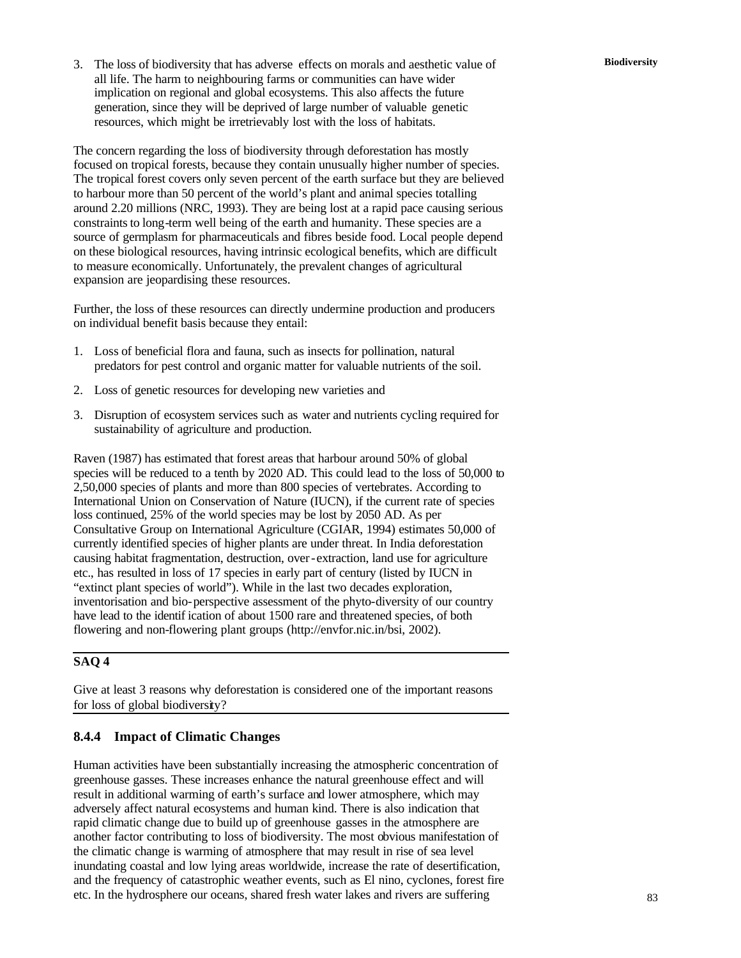**Biodiversity** 3. The loss of biodiversity that has adverse effects on morals and aesthetic value of all life. The harm to neighbouring farms or communities can have wider implication on regional and global ecosystems. This also affects the future generation, since they will be deprived of large number of valuable genetic resources, which might be irretrievably lost with the loss of habitats.

The concern regarding the loss of biodiversity through deforestation has mostly focused on tropical forests, because they contain unusually higher number of species. The tropical forest covers only seven percent of the earth surface but they are believed to harbour more than 50 percent of the world's plant and animal species totalling around 2.20 millions (NRC, 1993). They are being lost at a rapid pace causing serious constraints to long-term well being of the earth and humanity. These species are a source of germplasm for pharmaceuticals and fibres beside food. Local people depend on these biological resources, having intrinsic ecological benefits, which are difficult to measure economically. Unfortunately, the prevalent changes of agricultural expansion are jeopardising these resources.

Further, the loss of these resources can directly undermine production and producers on individual benefit basis because they entail:

- 1. Loss of beneficial flora and fauna, such as insects for pollination, natural predators for pest control and organic matter for valuable nutrients of the soil.
- 2. Loss of genetic resources for developing new varieties and
- 3. Disruption of ecosystem services such as water and nutrients cycling required for sustainability of agriculture and production.

Raven (1987) has estimated that forest areas that harbour around 50% of global species will be reduced to a tenth by 2020 AD. This could lead to the loss of 50,000 to 2,50,000 species of plants and more than 800 species of vertebrates. According to International Union on Conservation of Nature (IUCN), if the current rate of species loss continued, 25% of the world species may be lost by 2050 AD. As per Consultative Group on International Agriculture (CGIAR, 1994) estimates 50,000 of currently identified species of higher plants are under threat. In India deforestation causing habitat fragmentation, destruction, over-extraction, land use for agriculture etc., has resulted in loss of 17 species in early part of century (listed by IUCN in "extinct plant species of world"). While in the last two decades exploration, inventorisation and bio-perspective assessment of the phyto-diversity of our country have lead to the identif ication of about 1500 rare and threatened species, of both flowering and non-flowering plant groups (http://envfor.nic.in/bsi, 2002).

# **SAQ 4**

Give at least 3 reasons why deforestation is considered one of the important reasons for loss of global biodiversity?

# **8.4.4 Impact of Climatic Changes**

Human activities have been substantially increasing the atmospheric concentration of greenhouse gasses. These increases enhance the natural greenhouse effect and will result in additional warming of earth's surface and lower atmosphere, which may adversely affect natural ecosystems and human kind. There is also indication that rapid climatic change due to build up of greenhouse gasses in the atmosphere are another factor contributing to loss of biodiversity. The most obvious manifestation of the climatic change is warming of atmosphere that may result in rise of sea level inundating coastal and low lying areas worldwide, increase the rate of desertification, and the frequency of catastrophic weather events, such as El nino, cyclones, forest fire etc. In the hydrosphere our oceans, shared fresh water lakes and rivers are suffering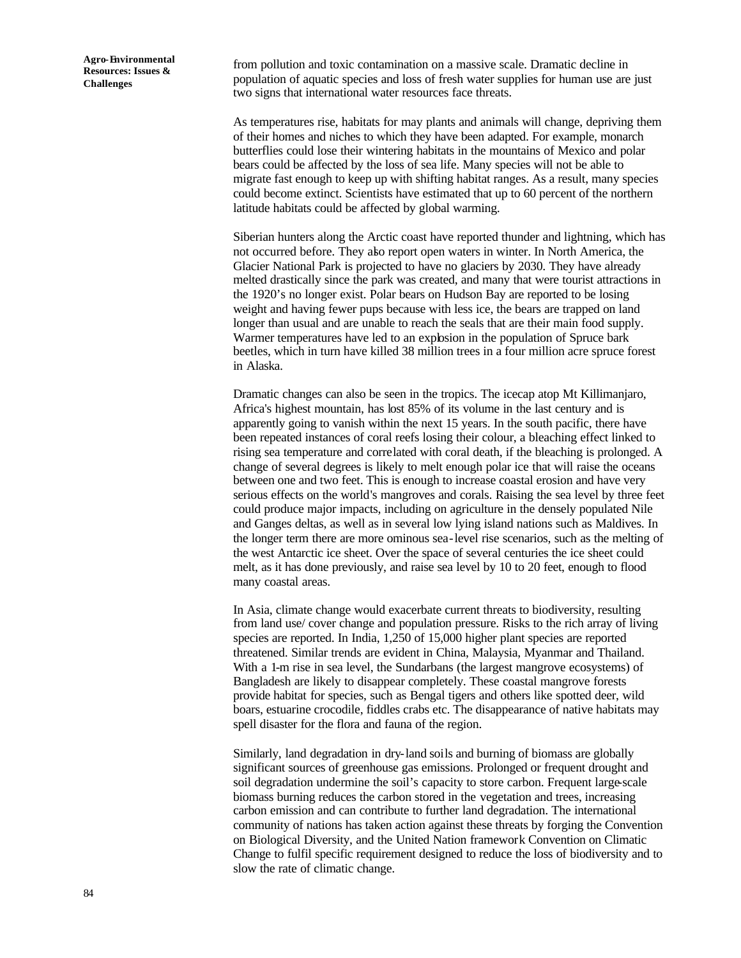from pollution and toxic contamination on a massive scale. Dramatic decline in population of aquatic species and loss of fresh water supplies for human use are just two signs that international water resources face threats.

As temperatures rise, habitats for may plants and animals will change, depriving them of their homes and niches to which they have been adapted. For example, monarch butterflies could lose their wintering habitats in the mountains of Mexico and polar bears could be affected by the loss of sea life. Many species will not be able to migrate fast enough to keep up with shifting habitat ranges. As a result, many species could become extinct. Scientists have estimated that up to 60 percent of the northern latitude habitats could be affected by global warming.

Siberian hunters along the Arctic coast have reported thunder and lightning, which has not occurred before. They also report open waters in winter. In North America, the Glacier National Park is projected to have no glaciers by 2030. They have already melted drastically since the park was created, and many that were tourist attractions in the 1920's no longer exist. Polar bears on Hudson Bay are reported to be losing weight and having fewer pups because with less ice, the bears are trapped on land longer than usual and are unable to reach the seals that are their main food supply. Warmer temperatures have led to an explosion in the population of Spruce bark beetles, which in turn have killed 38 million trees in a four million acre spruce forest in Alaska.

Dramatic changes can also be seen in the tropics. The icecap atop Mt Killimanjaro, Africa's highest mountain, has lost 85% of its volume in the last century and is apparently going to vanish within the next 15 years. In the south pacific, there have been repeated instances of coral reefs losing their colour, a bleaching effect linked to rising sea temperature and correlated with coral death, if the bleaching is prolonged. A change of several degrees is likely to melt enough polar ice that will raise the oceans between one and two feet. This is enough to increase coastal erosion and have very serious effects on the world's mangroves and corals. Raising the sea level by three feet could produce major impacts, including on agriculture in the densely populated Nile and Ganges deltas, as well as in several low lying island nations such as Maldives. In the longer term there are more ominous sea-level rise scenarios, such as the melting of the west Antarctic ice sheet. Over the space of several centuries the ice sheet could melt, as it has done previously, and raise sea level by 10 to 20 feet, enough to flood many coastal areas.

In Asia, climate change would exacerbate current threats to biodiversity, resulting from land use/ cover change and population pressure. Risks to the rich array of living species are reported. In India, 1,250 of 15,000 higher plant species are reported threatened. Similar trends are evident in China, Malaysia, Myanmar and Thailand. With a 1-m rise in sea level, the Sundarbans (the largest mangrove ecosystems) of Bangladesh are likely to disappear completely. These coastal mangrove forests provide habitat for species, such as Bengal tigers and others like spotted deer, wild boars, estuarine crocodile, fiddles crabs etc. The disappearance of native habitats may spell disaster for the flora and fauna of the region.

Similarly, land degradation in dry-land soils and burning of biomass are globally significant sources of greenhouse gas emissions. Prolonged or frequent drought and soil degradation undermine the soil's capacity to store carbon. Frequent large-scale biomass burning reduces the carbon stored in the vegetation and trees, increasing carbon emission and can contribute to further land degradation. The international community of nations has taken action against these threats by forging the Convention on Biological Diversity, and the United Nation framework Convention on Climatic Change to fulfil specific requirement designed to reduce the loss of biodiversity and to slow the rate of climatic change.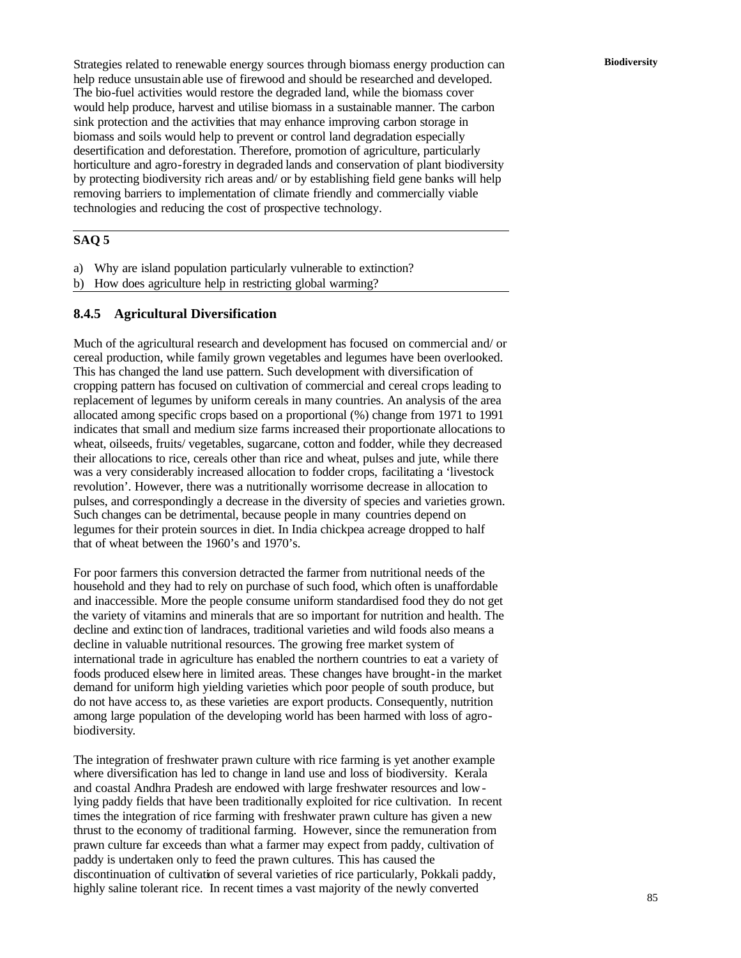**Biodiversity** Strategies related to renewable energy sources through biomass energy production can help reduce unsustainable use of firewood and should be researched and developed. The bio-fuel activities would restore the degraded land, while the biomass cover would help produce, harvest and utilise biomass in a sustainable manner. The carbon sink protection and the activities that may enhance improving carbon storage in biomass and soils would help to prevent or control land degradation especially desertification and deforestation. Therefore, promotion of agriculture, particularly horticulture and agro-forestry in degraded lands and conservation of plant biodiversity by protecting biodiversity rich areas and/ or by establishing field gene banks will help removing barriers to implementation of climate friendly and commercially viable technologies and reducing the cost of prospective technology.

# **SAQ 5**

- a) Why are island population particularly vulnerable to extinction?
- b) How does agriculture help in restricting global warming?

#### **8.4.5 Agricultural Diversification**

Much of the agricultural research and development has focused on commercial and/ or cereal production, while family grown vegetables and legumes have been overlooked. This has changed the land use pattern. Such development with diversification of cropping pattern has focused on cultivation of commercial and cereal crops leading to replacement of legumes by uniform cereals in many countries. An analysis of the area allocated among specific crops based on a proportional (%) change from 1971 to 1991 indicates that small and medium size farms increased their proportionate allocations to wheat, oilseeds, fruits/ vegetables, sugarcane, cotton and fodder, while they decreased their allocations to rice, cereals other than rice and wheat, pulses and jute, while there was a very considerably increased allocation to fodder crops, facilitating a 'livestock revolution'. However, there was a nutritionally worrisome decrease in allocation to pulses, and correspondingly a decrease in the diversity of species and varieties grown. Such changes can be detrimental, because people in many countries depend on legumes for their protein sources in diet. In India chickpea acreage dropped to half that of wheat between the 1960's and 1970's.

For poor farmers this conversion detracted the farmer from nutritional needs of the household and they had to rely on purchase of such food, which often is unaffordable and inaccessible. More the people consume uniform standardised food they do not get the variety of vitamins and minerals that are so important for nutrition and health. The decline and extinc tion of landraces, traditional varieties and wild foods also means a decline in valuable nutritional resources. The growing free market system of international trade in agriculture has enabled the northern countries to eat a variety of foods produced elsewhere in limited areas. These changes have brought-in the market demand for uniform high yielding varieties which poor people of south produce, but do not have access to, as these varieties are export products. Consequently, nutrition among large population of the developing world has been harmed with loss of agrobiodiversity.

The integration of freshwater prawn culture with rice farming is yet another example where diversification has led to change in land use and loss of biodiversity. Kerala and coastal Andhra Pradesh are endowed with large freshwater resources and lowlying paddy fields that have been traditionally exploited for rice cultivation. In recent times the integration of rice farming with freshwater prawn culture has given a new thrust to the economy of traditional farming. However, since the remuneration from prawn culture far exceeds than what a farmer may expect from paddy, cultivation of paddy is undertaken only to feed the prawn cultures. This has caused the discontinuation of cultivation of several varieties of rice particularly, Pokkali paddy, highly saline tolerant rice. In recent times a vast majority of the newly converted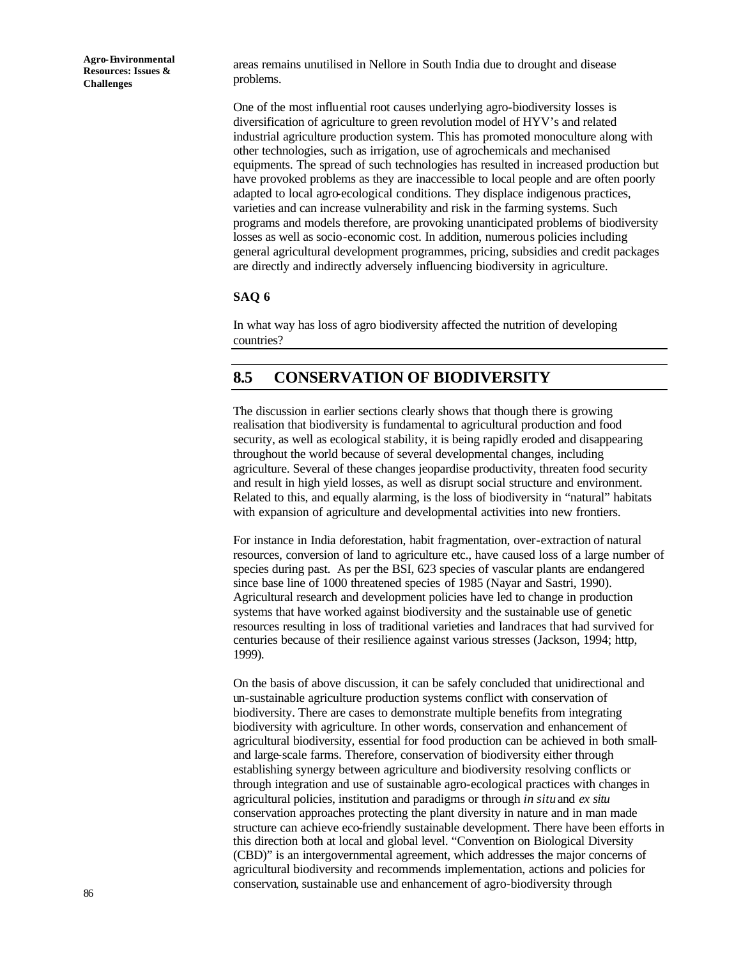areas remains unutilised in Nellore in South India due to drought and disease problems.

One of the most influential root causes underlying agro-biodiversity losses is diversification of agriculture to green revolution model of HYV's and related industrial agriculture production system. This has promoted monoculture along with other technologies, such as irrigation, use of agrochemicals and mechanised equipments. The spread of such technologies has resulted in increased production but have provoked problems as they are inaccessible to local people and are often poorly adapted to local agro-ecological conditions. They displace indigenous practices, varieties and can increase vulnerability and risk in the farming systems. Such programs and models therefore, are provoking unanticipated problems of biodiversity losses as well as socio-economic cost. In addition, numerous policies including general agricultural development programmes, pricing, subsidies and credit packages are directly and indirectly adversely influencing biodiversity in agriculture.

#### **SAQ 6**

In what way has loss of agro biodiversity affected the nutrition of developing countries?

# **8.5 CONSERVATION OF BIODIVERSITY**

The discussion in earlier sections clearly shows that though there is growing realisation that biodiversity is fundamental to agricultural production and food security, as well as ecological stability, it is being rapidly eroded and disappearing throughout the world because of several developmental changes, including agriculture. Several of these changes jeopardise productivity, threaten food security and result in high yield losses, as well as disrupt social structure and environment. Related to this, and equally alarming, is the loss of biodiversity in "natural" habitats with expansion of agriculture and developmental activities into new frontiers.

For instance in India deforestation, habit fragmentation, over-extraction of natural resources, conversion of land to agriculture etc., have caused loss of a large number of species during past. As per the BSI, 623 species of vascular plants are endangered since base line of 1000 threatened species of 1985 (Nayar and Sastri, 1990). Agricultural research and development policies have led to change in production systems that have worked against biodiversity and the sustainable use of genetic resources resulting in loss of traditional varieties and landraces that had survived for centuries because of their resilience against various stresses (Jackson, 1994; http, 1999).

On the basis of above discussion, it can be safely concluded that unidirectional and un-sustainable agriculture production systems conflict with conservation of biodiversity. There are cases to demonstrate multiple benefits from integrating biodiversity with agriculture. In other words, conservation and enhancement of agricultural biodiversity, essential for food production can be achieved in both smalland large-scale farms. Therefore, conservation of biodiversity either through establishing synergy between agriculture and biodiversity resolving conflicts or through integration and use of sustainable agro-ecological practices with changes in agricultural policies, institution and paradigms or through *in situ* and *ex situ* conservation approaches protecting the plant diversity in nature and in man made structure can achieve eco-friendly sustainable development. There have been efforts in this direction both at local and global level. "Convention on Biological Diversity (CBD)" is an intergovernmental agreement, which addresses the major concerns of agricultural biodiversity and recommends implementation, actions and policies for conservation, sustainable use and enhancement of agro-biodiversity through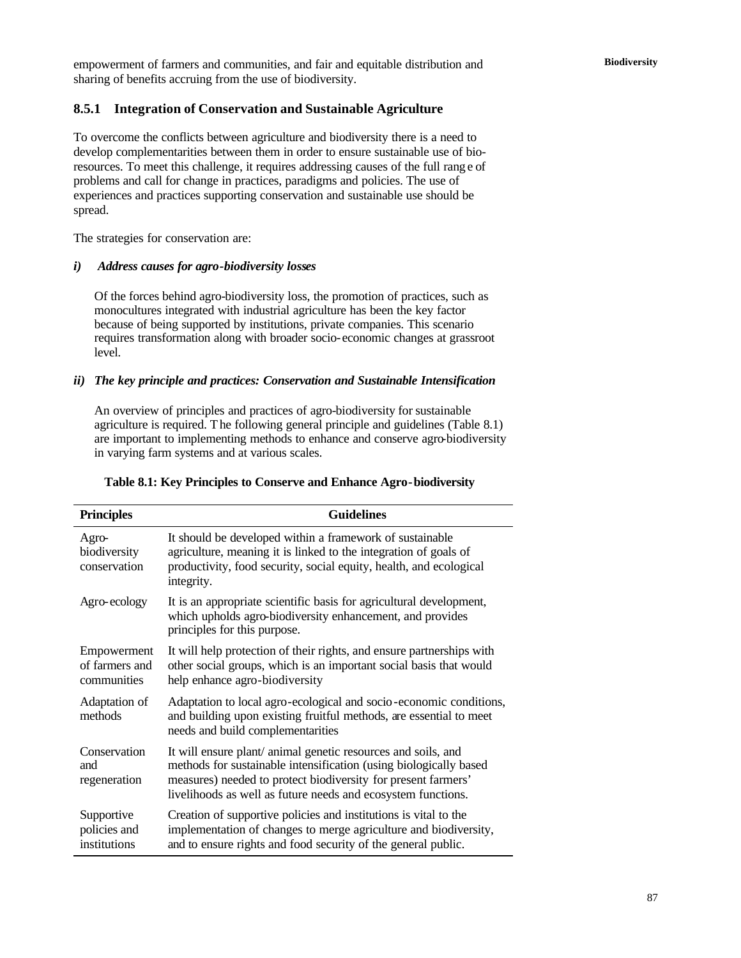**Biodiversity** empowerment of farmers and communities, and fair and equitable distribution and sharing of benefits accruing from the use of biodiversity.

#### **8.5.1 Integration of Conservation and Sustainable Agriculture**

To overcome the conflicts between agriculture and biodiversity there is a need to develop complementarities between them in order to ensure sustainable use of bioresources. To meet this challenge, it requires addressing causes of the full rang e of problems and call for change in practices, paradigms and policies. The use of experiences and practices supporting conservation and sustainable use should be spread.

The strategies for conservation are:

#### *i) Address causes for agro-biodiversity losses*

Of the forces behind agro-biodiversity loss, the promotion of practices, such as monocultures integrated with industrial agriculture has been the key factor because of being supported by institutions, private companies. This scenario requires transformation along with broader socio-economic changes at grassroot level.

#### *ii) The key principle and practices: Conservation and Sustainable Intensification*

An overview of principles and practices of agro-biodiversity for sustainable agriculture is required. The following general principle and guidelines (Table 8.1) are important to implementing methods to enhance and conserve agro-biodiversity in varying farm systems and at various scales.

| Table 8.1: Key Principles to Conserve and Ennance Agro-Diodiversity                                                                                                                                                                                                 |  |  |  |  |
|---------------------------------------------------------------------------------------------------------------------------------------------------------------------------------------------------------------------------------------------------------------------|--|--|--|--|
| <b>Guidelines</b>                                                                                                                                                                                                                                                   |  |  |  |  |
| It should be developed within a framework of sustainable<br>agriculture, meaning it is linked to the integration of goals of<br>productivity, food security, social equity, health, and ecological<br>integrity.                                                    |  |  |  |  |
| It is an appropriate scientific basis for agricultural development,<br>which upholds agro-biodiversity enhancement, and provides<br>principles for this purpose.                                                                                                    |  |  |  |  |
| It will help protection of their rights, and ensure partnerships with<br>other social groups, which is an important social basis that would<br>help enhance agro-biodiversity                                                                                       |  |  |  |  |
| Adaptation to local agro-ecological and socio-economic conditions,<br>and building upon existing fruitful methods, are essential to meet<br>needs and build complementarities                                                                                       |  |  |  |  |
| It will ensure plant/ animal genetic resources and soils, and<br>methods for sustainable intensification (using biologically based<br>measures) needed to protect biodiversity for present farmers'<br>livelihoods as well as future needs and ecosystem functions. |  |  |  |  |
| Creation of supportive policies and institutions is vital to the<br>implementation of changes to merge agriculture and biodiversity,<br>and to ensure rights and food security of the general public.                                                               |  |  |  |  |
|                                                                                                                                                                                                                                                                     |  |  |  |  |

# **Table 8.1: Key Principles to Conserve and Enhance Agro-biodiversity**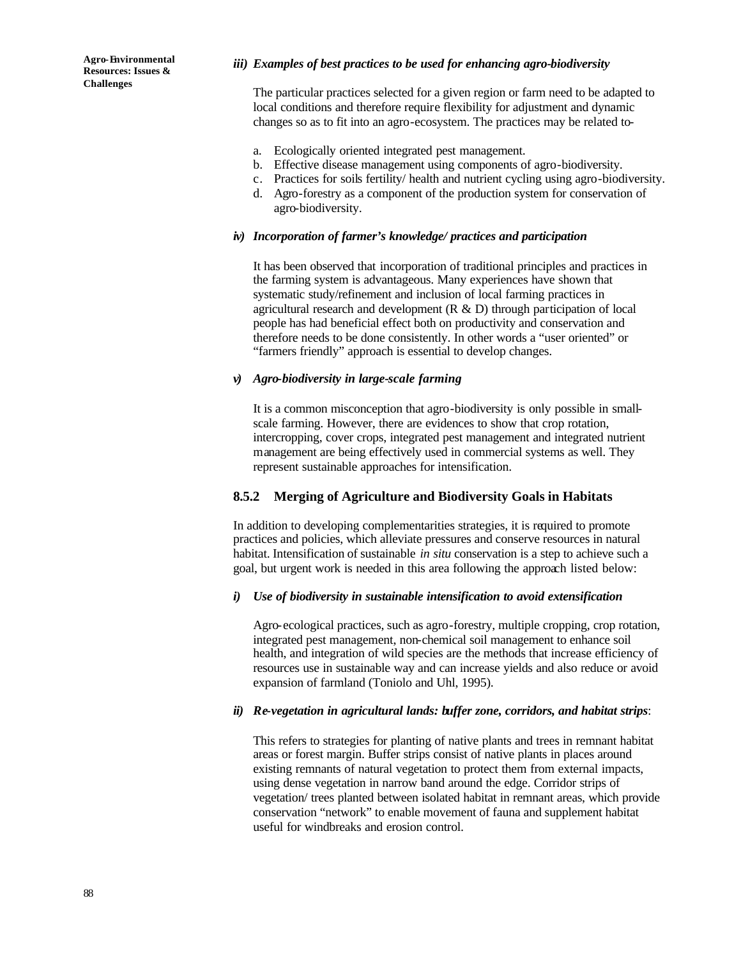#### *iii) Examples of best practices to be used for enhancing agro-biodiversity*

The particular practices selected for a given region or farm need to be adapted to local conditions and therefore require flexibility for adjustment and dynamic changes so as to fit into an agro-ecosystem. The practices may be related to-

- a. Ecologically oriented integrated pest management.
- b. Effective disease management using components of agro-biodiversity.
- c. Practices for soils fertility/ health and nutrient cycling using agro-biodiversity.
- d. Agro-forestry as a component of the production system for conservation of agro-biodiversity.

#### *iv) Incorporation of farmer's knowledge/ practices and participation*

It has been observed that incorporation of traditional principles and practices in the farming system is advantageous. Many experiences have shown that systematic study/refinement and inclusion of local farming practices in agricultural research and development  $(R & D)$  through participation of local people has had beneficial effect both on productivity and conservation and therefore needs to be done consistently. In other words a "user oriented" or "farmers friendly" approach is essential to develop changes.

### *v) Agro-biodiversity in large-scale farming*

It is a common misconception that agro-biodiversity is only possible in smallscale farming. However, there are evidences to show that crop rotation, intercropping, cover crops, integrated pest management and integrated nutrient management are being effectively used in commercial systems as well. They represent sustainable approaches for intensification.

## **8.5.2 Merging of Agriculture and Biodiversity Goals in Habitats**

In addition to developing complementarities strategies, it is required to promote practices and policies, which alleviate pressures and conserve resources in natural habitat. Intensification of sustainable *in situ* conservation is a step to achieve such a goal, but urgent work is needed in this area following the approach listed below:

#### *i) Use of biodiversity in sustainable intensification to avoid extensification*

Agro-ecological practices, such as agro-forestry, multiple cropping, crop rotation, integrated pest management, non-chemical soil management to enhance soil health, and integration of wild species are the methods that increase efficiency of resources use in sustainable way and can increase yields and also reduce or avoid expansion of farmland (Toniolo and Uhl, 1995).

#### *ii) Re-vegetation in agricultural lands: buffer zone, corridors, and habitat strips*:

This refers to strategies for planting of native plants and trees in remnant habitat areas or forest margin. Buffer strips consist of native plants in places around existing remnants of natural vegetation to protect them from external impacts, using dense vegetation in narrow band around the edge. Corridor strips of vegetation/ trees planted between isolated habitat in remnant areas, which provide conservation "network" to enable movement of fauna and supplement habitat useful for windbreaks and erosion control.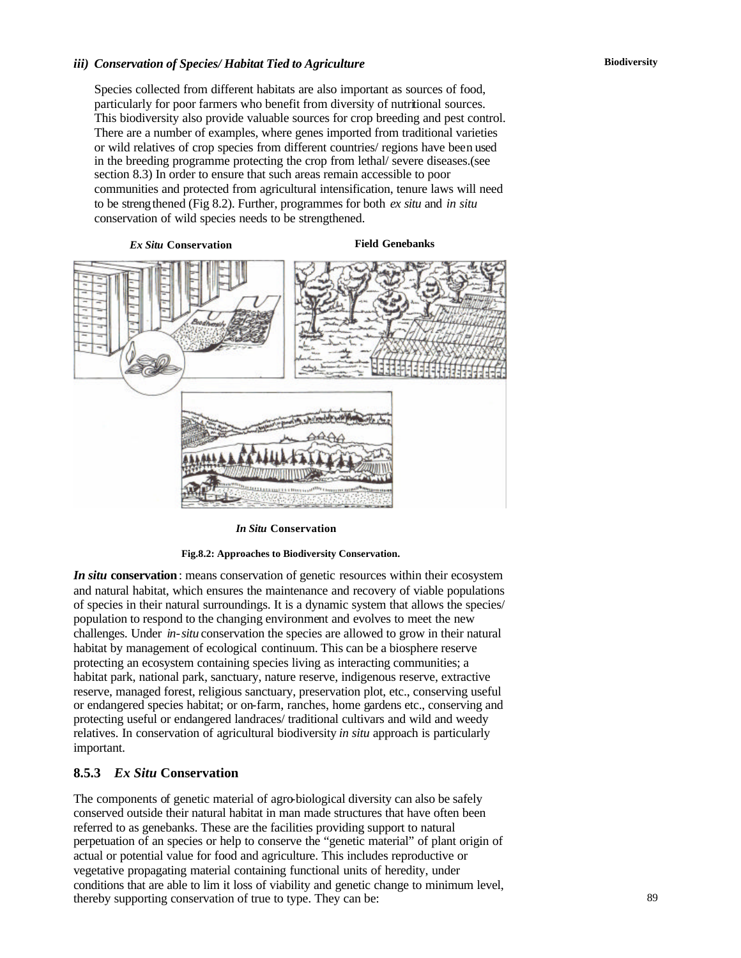#### *iii) Conservation of Species/ Habitat Tied to Agriculture*

Species collected from different habitats are also important as sources of food, particularly for poor farmers who benefit from diversity of nutritional sources. This biodiversity also provide valuable sources for crop breeding and pest control. There are a number of examples, where genes imported from traditional varieties or wild relatives of crop species from different countries/ regions have been used in the breeding programme protecting the crop from lethal/ severe diseases.(see section 8.3) In order to ensure that such areas remain accessible to poor communities and protected from agricultural intensification, tenure laws will need to be strengthened (Fig 8.2). Further, programmes for both *ex situ* and *in situ* conservation of wild species needs to be strengthened.

*Ex Situ* **Conservation Field Genebanks**



*In Situ* **Conservation**

**Fig.8.2: Approaches to Biodiversity Conservation.**

*In situ* conservation: means conservation of genetic resources within their ecosystem and natural habitat, which ensures the maintenance and recovery of viable populations of species in their natural surroundings. It is a dynamic system that allows the species/ population to respond to the changing environment and evolves to meet the new challenges. Under *in-situ* conservation the species are allowed to grow in their natural habitat by management of ecological continuum. This can be a biosphere reserve protecting an ecosystem containing species living as interacting communities; a habitat park, national park, sanctuary, nature reserve, indigenous reserve, extractive reserve, managed forest, religious sanctuary, preservation plot, etc., conserving useful or endangered species habitat; or on-farm, ranches, home gardens etc., conserving and protecting useful or endangered landraces/ traditional cultivars and wild and weedy relatives. In conservation of agricultural biodiversity *in situ* approach is particularly important.

#### **8.5.3** *Ex Situ* **Conservation**

The components of genetic material of agro-biological diversity can also be safely conserved outside their natural habitat in man made structures that have often been referred to as genebanks. These are the facilities providing support to natural perpetuation of an species or help to conserve the "genetic material" of plant origin of actual or potential value for food and agriculture. This includes reproductive or vegetative propagating material containing functional units of heredity, under conditions that are able to lim it loss of viability and genetic change to minimum level, thereby supporting conservation of true to type. They can be: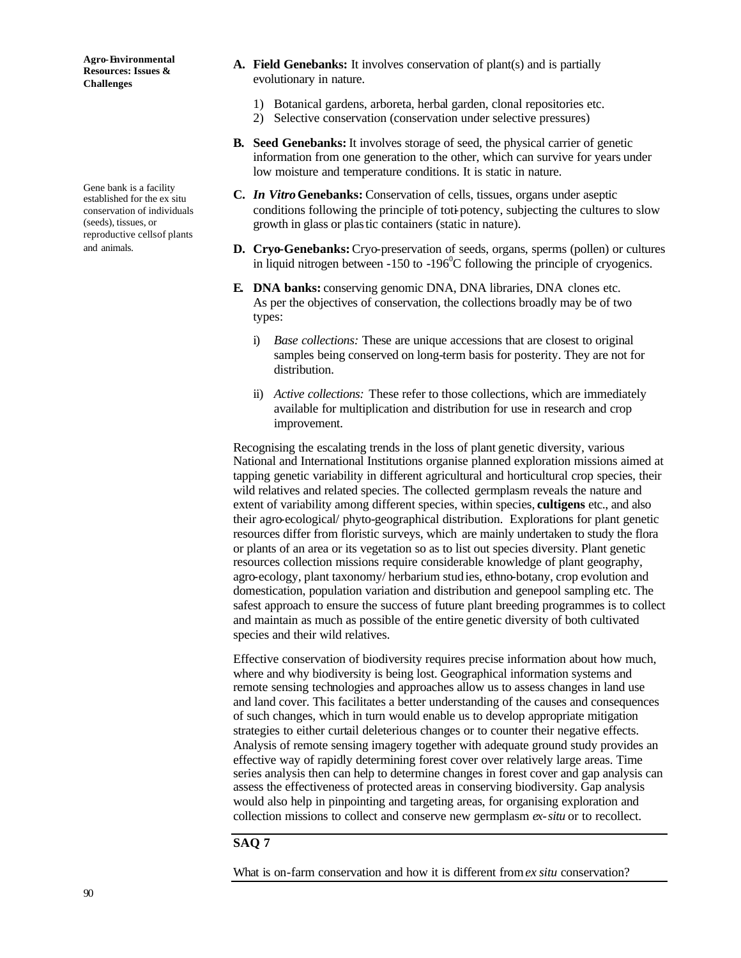Gene bank is a facility established for the ex situ conservation of individuals (seeds), tissues, or reproductive cells of plants and animals.

- **A. Field Genebanks:** It involves conservation of plant(s) and is partially evolutionary in nature.
	- 1) Botanical gardens, arboreta, herbal garden, clonal repositories etc.
	- 2) Selective conservation (conservation under selective pressures)
- **B. Seed Genebanks:** It involves storage of seed, the physical carrier of genetic information from one generation to the other, which can survive for years under low moisture and temperature conditions. It is static in nature.
- **C.** *In Vitro* **Genebanks:** Conservation of cells, tissues, organs under aseptic conditions following the principle of toti-potency, subjecting the cultures to slow growth in glass or plastic containers (static in nature).
- **D. Cryo-Genebanks:** Cryo-preservation of seeds, organs, sperms (pollen) or cultures in liquid nitrogen between  $-150$  to  $-196^{\circ}$ C following the principle of cryogenics.
- **E. DNA banks:** conserving genomic DNA, DNA libraries, DNA clones etc. As per the objectives of conservation, the collections broadly may be of two types:
	- i) *Base collections:* These are unique accessions that are closest to original samples being conserved on long-term basis for posterity. They are not for distribution.
	- ii) *Active collections:* These refer to those collections, which are immediately available for multiplication and distribution for use in research and crop improvement.

Recognising the escalating trends in the loss of plant genetic diversity, various National and International Institutions organise planned exploration missions aimed at tapping genetic variability in different agricultural and horticultural crop species, their wild relatives and related species. The collected germplasm reveals the nature and extent of variability among different species, within species, **cultigens** etc., and also their agro-ecological/ phyto-geographical distribution. Explorations for plant genetic resources differ from floristic surveys, which are mainly undertaken to study the flora or plants of an area or its vegetation so as to list out species diversity. Plant genetic resources collection missions require considerable knowledge of plant geography, agro-ecology, plant taxonomy/ herbarium stud ies, ethno-botany, crop evolution and domestication, population variation and distribution and genepool sampling etc. The safest approach to ensure the success of future plant breeding programmes is to collect and maintain as much as possible of the entire genetic diversity of both cultivated species and their wild relatives.

Effective conservation of biodiversity requires precise information about how much, where and why biodiversity is being lost. Geographical information systems and remote sensing technologies and approaches allow us to assess changes in land use and land cover. This facilitates a better understanding of the causes and consequences of such changes, which in turn would enable us to develop appropriate mitigation strategies to either curtail deleterious changes or to counter their negative effects. Analysis of remote sensing imagery together with adequate ground study provides an effective way of rapidly determining forest cover over relatively large areas. Time series analysis then can help to determine changes in forest cover and gap analysis can assess the effectiveness of protected areas in conserving biodiversity. Gap analysis would also help in pinpointing and targeting areas, for organising exploration and collection missions to collect and conserve new germplasm *ex-situ* or to recollect.

# **SAQ 7**

What is on-farm conservation and how it is different from *ex situ* conservation?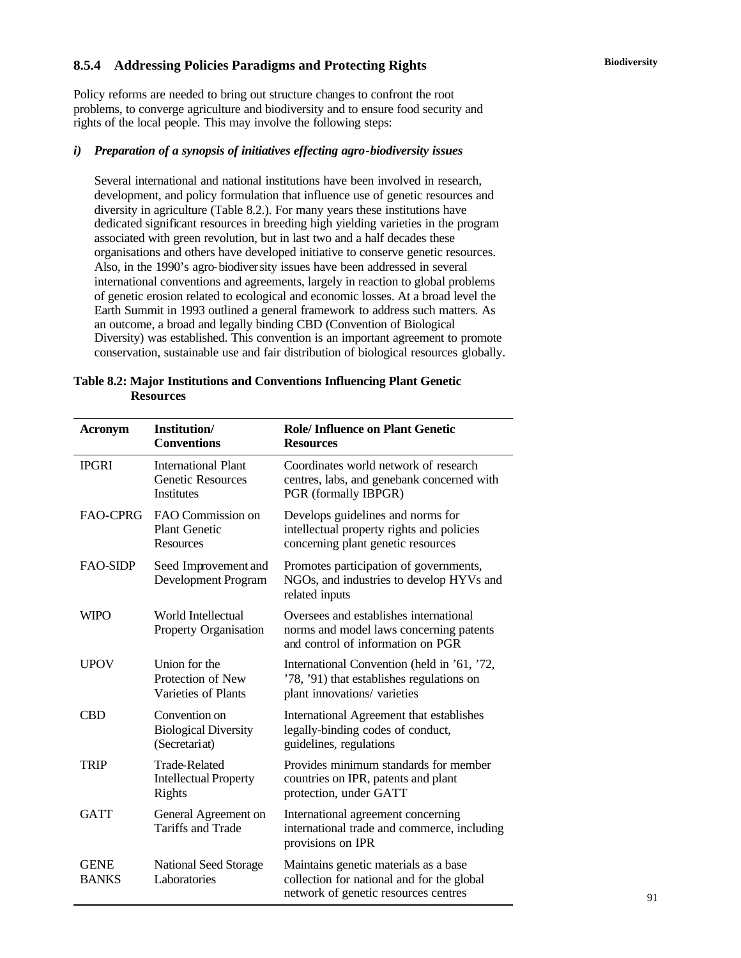# **Biodiversity 8.5.4 Addressing Policies Paradigms and Protecting Rights**

Policy reforms are needed to bring out structure changes to confront the root problems, to converge agriculture and biodiversity and to ensure food security and rights of the local people. This may involve the following steps:

#### *i) Preparation of a synopsis of initiatives effecting agro-biodiversity issues*

Several international and national institutions have been involved in research, development, and policy formulation that influence use of genetic resources and diversity in agriculture (Table 8.2.). For many years these institutions have dedicated significant resources in breeding high yielding varieties in the program associated with green revolution, but in last two and a half decades these organisations and others have developed initiative to conserve genetic resources. Also, in the 1990's agro-biodiversity issues have been addressed in several international conventions and agreements, largely in reaction to global problems of genetic erosion related to ecological and economic losses. At a broad level the Earth Summit in 1993 outlined a general framework to address such matters. As an outcome, a broad and legally binding CBD (Convention of Biological Diversity) was established. This convention is an important agreement to promote conservation, sustainable use and fair distribution of biological resources globally.

| Table 8.2: Major Institutions and Conventions Influencing Plant Genetic |  |  |
|-------------------------------------------------------------------------|--|--|
| <b>Resources</b>                                                        |  |  |

| <b>Acronym</b>              | Institution/<br><b>Conventions</b>                                          | <b>Role/Influence on Plant Genetic</b><br><b>Resources</b>                                                                  |
|-----------------------------|-----------------------------------------------------------------------------|-----------------------------------------------------------------------------------------------------------------------------|
| <b>IPGRI</b>                | <b>International Plant</b><br><b>Genetic Resources</b><br><b>Institutes</b> | Coordinates world network of research<br>centres, labs, and genebank concerned with<br>PGR (formally IBPGR)                 |
| <b>FAO-CPRG</b>             | FAO Commission on<br><b>Plant Genetic</b><br><b>Resources</b>               | Develops guidelines and norms for<br>intellectual property rights and policies<br>concerning plant genetic resources        |
| <b>FAO-SIDP</b>             | Seed Improvement and<br>Development Program                                 | Promotes participation of governments,<br>NGOs, and industries to develop HYVs and<br>related inputs                        |
| <b>WIPO</b>                 | World Intellectual<br>Property Organisation                                 | Oversees and establishes international<br>norms and model laws concerning patents<br>and control of information on PGR      |
| <b>UPOV</b>                 | Union for the<br>Protection of New<br><b>Varieties of Plants</b>            | International Convention (held in '61, '72,<br>'78, '91) that establishes regulations on<br>plant innovations/ varieties    |
| <b>CBD</b>                  | Convention on<br><b>Biological Diversity</b><br>(Secretariat)               | International Agreement that establishes<br>legally-binding codes of conduct,<br>guidelines, regulations                    |
| <b>TRIP</b>                 | <b>Trade-Related</b><br><b>Intellectual Property</b><br>Rights              | Provides minimum standards for member<br>countries on IPR, patents and plant<br>protection, under GATT                      |
| <b>GATT</b>                 | General Agreement on<br>Tariffs and Trade                                   | International agreement concerning<br>international trade and commerce, including<br>provisions on IPR                      |
| <b>GENE</b><br><b>BANKS</b> | <b>National Seed Storage</b><br>Laboratories                                | Maintains genetic materials as a base<br>collection for national and for the global<br>network of genetic resources centres |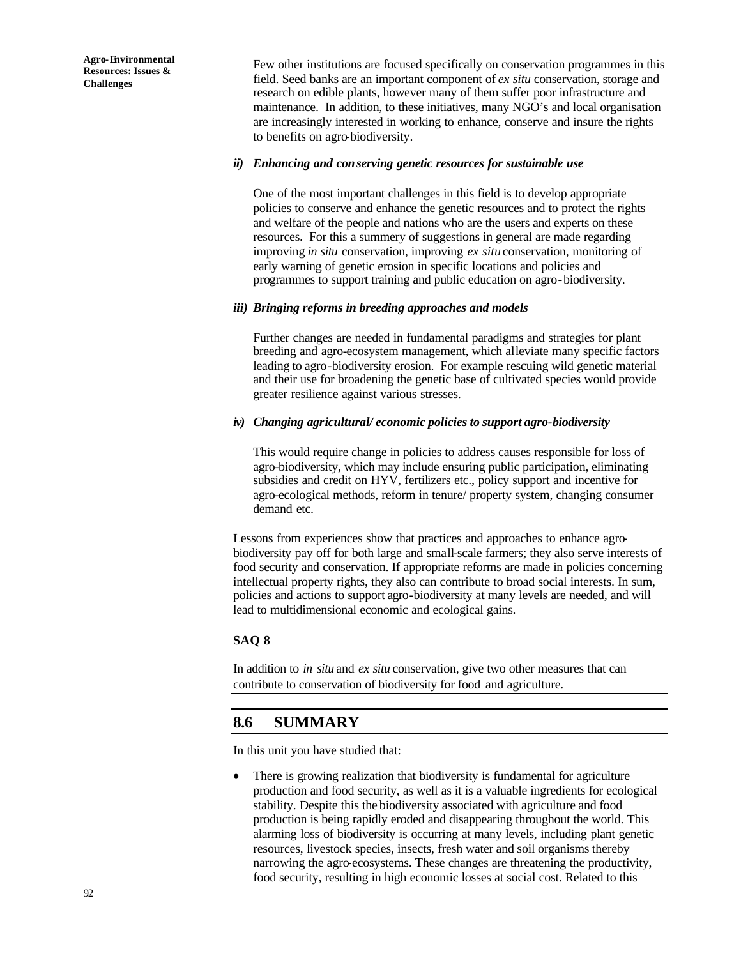Few other institutions are focused specifically on conservation programmes in this field. Seed banks are an important component of *ex situ* conservation, storage and research on edible plants, however many of them suffer poor infrastructure and maintenance. In addition, to these initiatives, many NGO's and local organisation are increasingly interested in working to enhance, conserve and insure the rights to benefits on agro-biodiversity.

#### *ii) Enhancing and conserving genetic resources for sustainable use*

One of the most important challenges in this field is to develop appropriate policies to conserve and enhance the genetic resources and to protect the rights and welfare of the people and nations who are the users and experts on these resources. For this a summery of suggestions in general are made regarding improving *in situ* conservation, improving *ex situ* conservation, monitoring of early warning of genetic erosion in specific locations and policies and programmes to support training and public education on agro-biodiversity.

#### *iii) Bringing reforms in breeding approaches and models*

Further changes are needed in fundamental paradigms and strategies for plant breeding and agro-ecosystem management, which alleviate many specific factors leading to agro-biodiversity erosion. For example rescuing wild genetic material and their use for broadening the genetic base of cultivated species would provide greater resilience against various stresses.

#### *iv) Changing agricultural/ economic policies to support agro-biodiversity*

This would require change in policies to address causes responsible for loss of agro-biodiversity, which may include ensuring public participation, eliminating subsidies and credit on HYV, fertilizers etc., policy support and incentive for agro-ecological methods, reform in tenure/ property system, changing consumer demand etc.

Lessons from experiences show that practices and approaches to enhance agrobiodiversity pay off for both large and small-scale farmers; they also serve interests of food security and conservation. If appropriate reforms are made in policies concerning intellectual property rights, they also can contribute to broad social interests. In sum, policies and actions to support agro-biodiversity at many levels are needed, and will lead to multidimensional economic and ecological gains.

# **SAQ 8**

In addition to *in situ* and *ex situ* conservation, give two other measures that can contribute to conservation of biodiversity for food and agriculture.

# **8.6 SUMMARY**

In this unit you have studied that:

There is growing realization that biodiversity is fundamental for agriculture production and food security, as well as it is a valuable ingredients for ecological stability. Despite this the biodiversity associated with agriculture and food production is being rapidly eroded and disappearing throughout the world. This alarming loss of biodiversity is occurring at many levels, including plant genetic resources, livestock species, insects, fresh water and soil organisms thereby narrowing the agro-ecosystems. These changes are threatening the productivity, food security, resulting in high economic losses at social cost. Related to this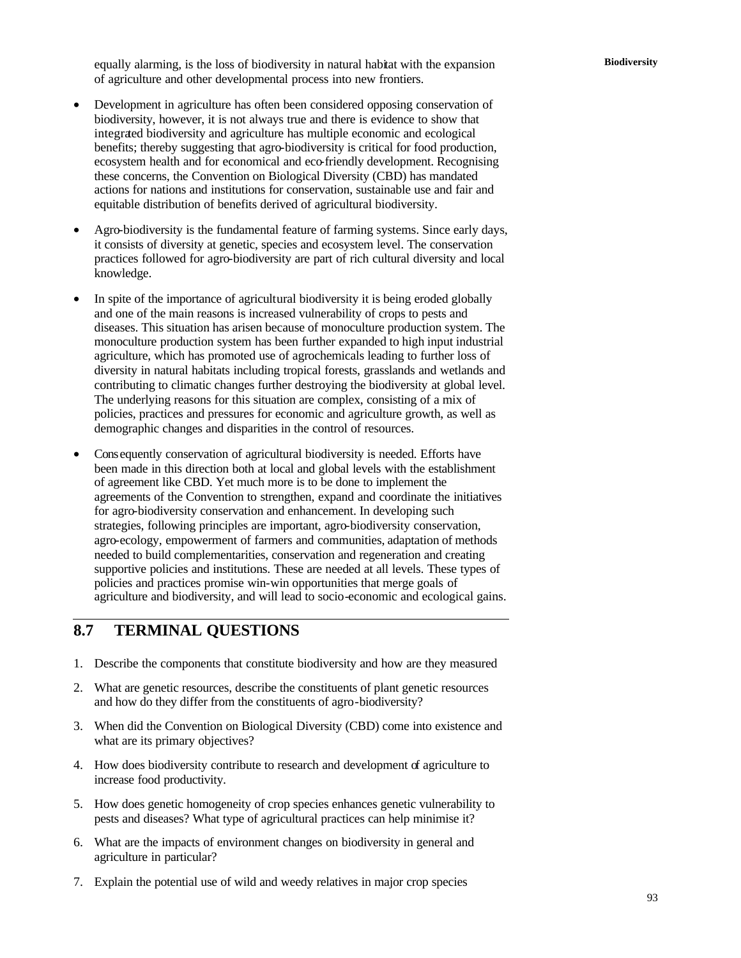**Biodiversity** equally alarming, is the loss of biodiversity in natural habitat with the expansion of agriculture and other developmental process into new frontiers.

- Development in agriculture has often been considered opposing conservation of biodiversity, however, it is not always true and there is evidence to show that integrated biodiversity and agriculture has multiple economic and ecological benefits; thereby suggesting that agro-biodiversity is critical for food production, ecosystem health and for economical and eco-friendly development. Recognising these concerns, the Convention on Biological Diversity (CBD) has mandated actions for nations and institutions for conservation, sustainable use and fair and equitable distribution of benefits derived of agricultural biodiversity.
- Agro-biodiversity is the fundamental feature of farming systems. Since early days, it consists of diversity at genetic, species and ecosystem level. The conservation practices followed for agro-biodiversity are part of rich cultural diversity and local knowledge.
- In spite of the importance of agricultural biodiversity it is being eroded globally and one of the main reasons is increased vulnerability of crops to pests and diseases. This situation has arisen because of monoculture production system. The monoculture production system has been further expanded to high input industrial agriculture, which has promoted use of agrochemicals leading to further loss of diversity in natural habitats including tropical forests, grasslands and wetlands and contributing to climatic changes further destroying the biodiversity at global level. The underlying reasons for this situation are complex, consisting of a mix of policies, practices and pressures for economic and agriculture growth, as well as demographic changes and disparities in the control of resources.
- Consequently conservation of agricultural biodiversity is needed. Efforts have been made in this direction both at local and global levels with the establishment of agreement like CBD. Yet much more is to be done to implement the agreements of the Convention to strengthen, expand and coordinate the initiatives for agro-biodiversity conservation and enhancement. In developing such strategies, following principles are important, agro-biodiversity conservation, agro-ecology, empowerment of farmers and communities, adaptation of methods needed to build complementarities, conservation and regeneration and creating supportive policies and institutions. These are needed at all levels. These types of policies and practices promise win-win opportunities that merge goals of agriculture and biodiversity, and will lead to socio-economic and ecological gains.

# **8.7 TERMINAL QUESTIONS**

- 1. Describe the components that constitute biodiversity and how are they measured
- 2. What are genetic resources, describe the constituents of plant genetic resources and how do they differ from the constituents of agro-biodiversity?
- 3. When did the Convention on Biological Diversity (CBD) come into existence and what are its primary objectives?
- 4. How does biodiversity contribute to research and development of agriculture to increase food productivity.
- 5. How does genetic homogeneity of crop species enhances genetic vulnerability to pests and diseases? What type of agricultural practices can help minimise it?
- 6. What are the impacts of environment changes on biodiversity in general and agriculture in particular?
- 7. Explain the potential use of wild and weedy relatives in major crop species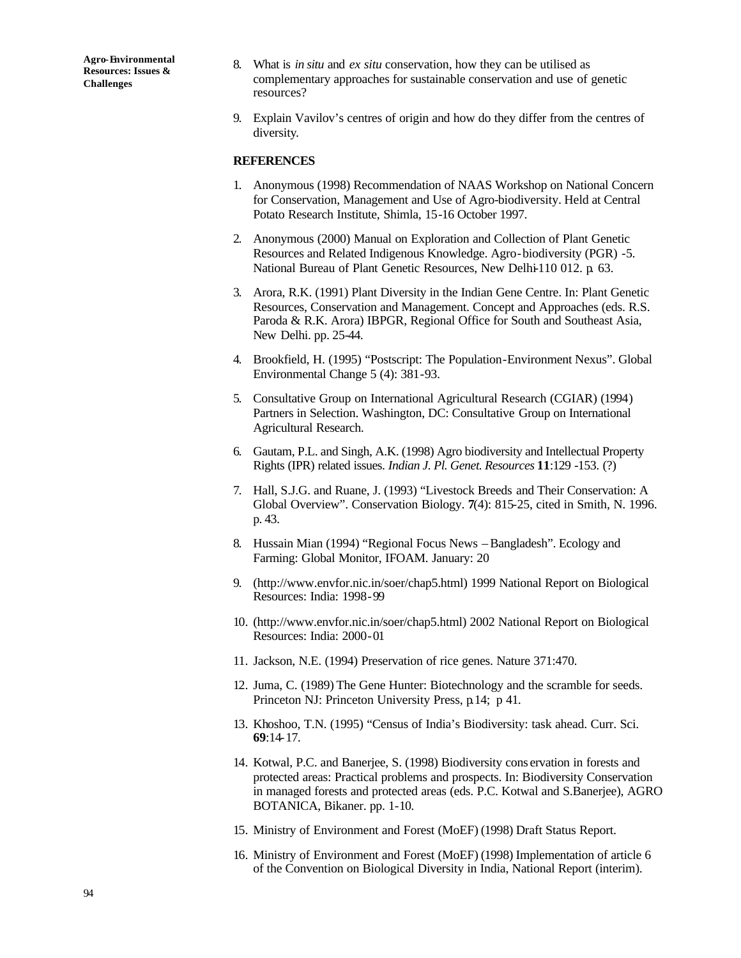- 8. What is *in situ* and *ex situ* conservation, how they can be utilised as complementary approaches for sustainable conservation and use of genetic resources?
- 9. Explain Vavilov's centres of origin and how do they differ from the centres of diversity.

#### **REFERENCES**

- 1. Anonymous (1998) Recommendation of NAAS Workshop on National Concern for Conservation, Management and Use of Agro-biodiversity. Held at Central Potato Research Institute, Shimla, 15-16 October 1997.
- 2. Anonymous (2000) Manual on Exploration and Collection of Plant Genetic Resources and Related Indigenous Knowledge. Agro-biodiversity (PGR) -5. National Bureau of Plant Genetic Resources, New Delhi-110 012. p. 63.
- 3. Arora, R.K. (1991) Plant Diversity in the Indian Gene Centre. In: Plant Genetic Resources, Conservation and Management. Concept and Approaches (eds. R.S. Paroda & R.K. Arora) IBPGR, Regional Office for South and Southeast Asia, New Delhi. pp. 25-44.
- 4. Brookfield, H. (1995) "Postscript: The Population-Environment Nexus". Global Environmental Change 5 (4): 381-93.
- 5. Consultative Group on International Agricultural Research (CGIAR) (1994) Partners in Selection. Washington, DC: Consultative Group on International Agricultural Research.
- 6. Gautam, P.L. and Singh, A.K. (1998) Agro biodiversity and Intellectual Property Rights (IPR) related issues. *Indian J. Pl. Genet. Resources* **11**:129 -153. (?)
- 7. Hall, S.J.G. and Ruane, J. (1993) "Livestock Breeds and Their Conservation: A Global Overview". Conservation Biology. **7**(4): 815-25, cited in Smith, N. 1996. p. 43.
- 8. Hussain Mian (1994) "Regional Focus News Bangladesh". Ecology and Farming: Global Monitor, IFOAM. January: 20
- 9. (http://www.envfor.nic.in/soer/chap5.html) 1999 National Report on Biological Resources: India: 1998-99
- 10. (http://www.envfor.nic.in/soer/chap5.html) 2002 National Report on Biological Resources: India: 2000-01
- 11. Jackson, N.E. (1994) Preservation of rice genes. Nature 371:470.
- 12. Juma, C. (1989) The Gene Hunter: Biotechnology and the scramble for seeds. Princeton NJ: Princeton University Press, p.14; p 41.
- 13. Khoshoo, T.N. (1995) "Census of India's Biodiversity: task ahead. Curr. Sci. **69**:14-17.
- 14. Kotwal, P.C. and Banerjee, S. (1998) Biodiversity cons ervation in forests and protected areas: Practical problems and prospects. In: Biodiversity Conservation in managed forests and protected areas (eds. P.C. Kotwal and S.Banerjee), AGRO BOTANICA, Bikaner. pp. 1-10.
- 15. Ministry of Environment and Forest (MoEF) (1998) Draft Status Report.
- 16. Ministry of Environment and Forest (MoEF) (1998) Implementation of article 6 of the Convention on Biological Diversity in India, National Report (interim).